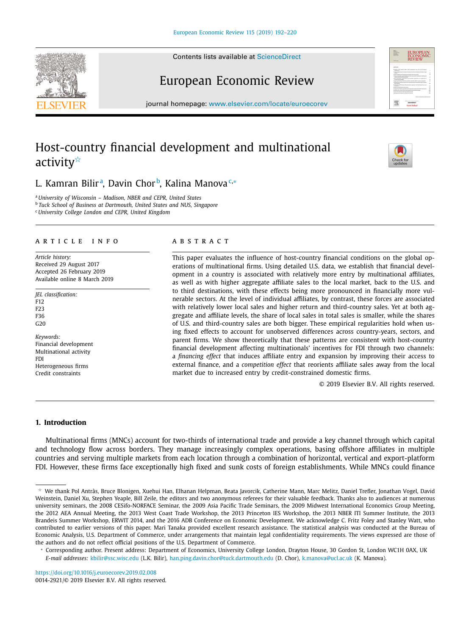Contents lists available at [ScienceDirect](http://www.ScienceDirect.com)

# European Economic Review

journal homepage: [www.elsevier.com/locate/euroecorev](http://www.elsevier.com/locate/euroecorev)

# Host-country financial development and multinational activity $\overline{\mathbf{v}}$

## L. Kamran Bilirª, Davin Chor<sup>b</sup>, Kalina Manova<sup>c,</sup>∗

<sup>a</sup> *University of Wisconsin – Madison, NBER and CEPR, United States* <sup>b</sup> *Tuck School of Business at Dartmouth, United States and NUS, Singapore* <sup>c</sup> *University College London and CEPR, United Kingdom*

#### a r t i c l e i n f o

*Article history:* Received 29 August 2017 Accepted 26 February 2019 Available online 8 March 2019

*JEL classification:* F12 F23 F36 G<sub>20</sub>

*Keywords:* Financial development Multinational activity FDI Heterogeneous firms Credit constraints

### a b s t r a c t

This paper evaluates the influence of host-country financial conditions on the global operations of multinational firms. Using detailed U.S. data, we establish that financial development in a country is associated with relatively more entry by multinational affiliates, as well as with higher aggregate affiliate sales to the local market, back to the U.S. and to third destinations, with these effects being more pronounced in financially more vulnerable sectors. At the level of individual affiliates, by contrast, these forces are associated with relatively lower local sales and higher return and third-country sales. Yet at both aggregate and affiliate levels, the share of local sales in total sales is smaller, while the shares of U.S. and third-country sales are both bigger. These empirical regularities hold when using fixed effects to account for unobserved differences across country-years, sectors, and parent firms. We show theoretically that these patterns are consistent with host-country financial development affecting multinationals' incentives for FDI through two channels: a *financing effect* that induces affiliate entry and expansion by improving their access to external finance, and a *competition effect* that reorients affiliate sales away from the local market due to increased entry by credit-constrained domestic firms.

© 2019 Elsevier B.V. All rights reserved.

#### **1. Introduction**

Multinational firms (MNCs) account for two-thirds of international trade and provide a key channel through which capital and technology flow across borders. They manage increasingly complex operations, basing offshore affiliates in multiple countries and serving multiple markets from each location through a combination of horizontal, vertical and export-platform FDI. However, these firms face exceptionally high fixed and sunk costs of foreign establishments. While MNCs could finance







 $^\star$  We thank Pol Antràs, Bruce Blonigen, Xuehui Han, Elhanan Helpman, Beata Javorcik, Catherine Mann, Marc Melitz, Daniel Trefler, Jonathan Vogel, David Weinstein, Daniel Xu, Stephen Yeaple, Bill Zeile, the editors and two anonymous referees for their valuable feedback. Thanks also to audiences at numerous university seminars, the 2008 CESifo-NORFACE Seminar, the 2009 Asia Pacific Trade Seminars, the 2009 Midwest International Economics Group Meeting, the 2012 AEA Annual Meeting, the 2013 West Coast Trade Workshop, the 2013 Princeton IES Workshop, the 2013 NBER ITI Summer Institute, the 2013 Brandeis Summer Workshop, ERWIT 2014, and the 2016 ADB Conference on Economic Development. We acknowledge C. Fritz Foley and Stanley Watt, who contributed to earlier versions of this paper. Mari Tanaka provided excellent research assistance. The statistical analysis was conducted at the Bureau of Economic Analysis, U.S. Department of Commerce, under arrangements that maintain legal confidentiality requirements. The views expressed are those of the authors and do not reflect official positions of the U.S. Department of Commerce.

<sup>∗</sup> Corresponding author. Present address: Department of Economics, University College London, Drayton House, 30 Gordon St, London WC1H 0AX, UK *E-mail addresses:* [kbilir@ssc.wisc.edu](mailto:kbilir@ssc.wisc.edu) (L.K. Bilir), [han.ping.davin.chor@tuck.dartmouth.edu](mailto:han.ping.davin.chor@tuck.dartmouth.edu) (D. Chor), [k.manova@ucl.ac.uk](mailto:k.manova@ucl.ac.uk) (K. Manova).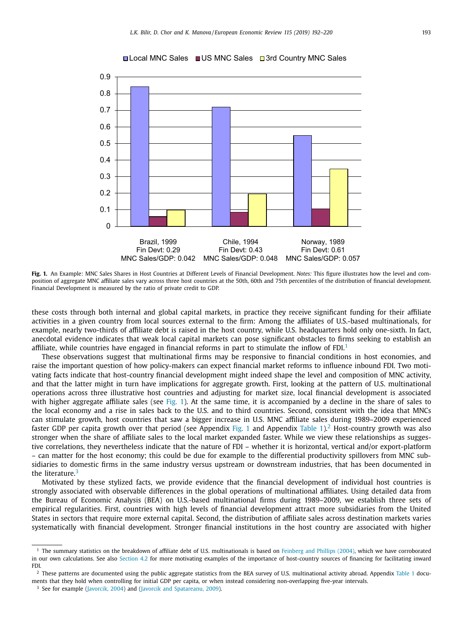

<span id="page-1-0"></span>

**Fig. 1.** An Example: MNC Sales Shares in Host Countries at Different Levels of Financial Development. *Notes:* This figure illustrates how the level and composition of aggregate MNC affiliate sales vary across three host countries at the 50th, 60th and 75th percentiles of the distribution of financial development. Financial Development is measured by the ratio of private credit to GDP.

these costs through both internal and global capital markets, in practice they receive significant funding for their affiliate activities in a given country from local sources external to the firm: Among the affiliates of U.S.-based multinationals, for example, nearly two-thirds of affiliate debt is raised in the host country, while U.S. headquarters hold only one-sixth. In fact, anecdotal evidence indicates that weak local capital markets can pose significant obstacles to firms seeking to establish an affiliate, while countries have engaged in financial reforms in part to stimulate the inflow of  $FDI$ <sup>1</sup>

These observations suggest that multinational firms may be responsive to financial conditions in host economies, and raise the important question of how policy-makers can expect financial market reforms to influence inbound FDI. Two motivating facts indicate that host-country financial development might indeed shape the level and composition of MNC activity, and that the latter might in turn have implications for aggregate growth. First, looking at the pattern of U.S. multinational operations across three illustrative host countries and adjusting for market size, local financial development is associated with higher aggregate affiliate sales (see Fig. 1). At the same time, it is accompanied by a decline in the share of sales to the local economy and a rise in sales back to the U.S. and to third countries. Second, consistent with the idea that MNCs can stimulate growth, host countries that saw a bigger increase in U.S. MNC affiliate sales during 1989–2009 experienced faster GDP per capita growth over that period (see Appendix Fig. 1 and Appendix [Table](#page-8-0) 1).<sup>2</sup> Host-country growth was also stronger when the share of affiliate sales to the local market expanded faster. While we view these relationships as suggestive correlations, they nevertheless indicate that the nature of FDI – whether it is horizontal, vertical and/or export-platform – can matter for the host economy; this could be due for example to the differential productivity spillovers from MNC subsidiaries to domestic firms in the same industry versus upstream or downstream industries, that has been documented in the literature.<sup>3</sup>

Motivated by these stylized facts, we provide evidence that the financial development of individual host countries is strongly associated with observable differences in the global operations of multinational affiliates. Using detailed data from the Bureau of Economic Analysis (BEA) on U.S.-based multinational firms during 1989–2009, we establish three sets of empirical regularities. First, countries with high levels of financial development attract more subsidiaries from the United States in sectors that require more external capital. Second, the distribution of affiliate sales across destination markets varies systematically with financial development. Stronger financial institutions in the host country are associated with higher

<sup>&</sup>lt;sup>1</sup> The summary statistics on the breakdown of affiliate debt of U.S. multinationals is based on [Feinberg](#page-28-0) and Phillips (2004), which we have corroborated in our own calculations. See also [Section](#page-14-0) 4.2 for more motivating examples of the importance of host-country sources of financing for facilitating inward FDI.

<sup>&</sup>lt;sup>2</sup> These patterns are documented using the public aggregate statistics from the BEA survey of U.S. multinational activity abroad. Appendix [Table](#page-8-0) 1 documents that they hold when controlling for initial GDP per capita, or when instead considering non-overlapping five-year intervals.

<sup>&</sup>lt;sup>3</sup> See for example [\(Javorcik,](#page-28-0) 2004) and (Javorcik and [Spatareanu,](#page-28-0) 2009).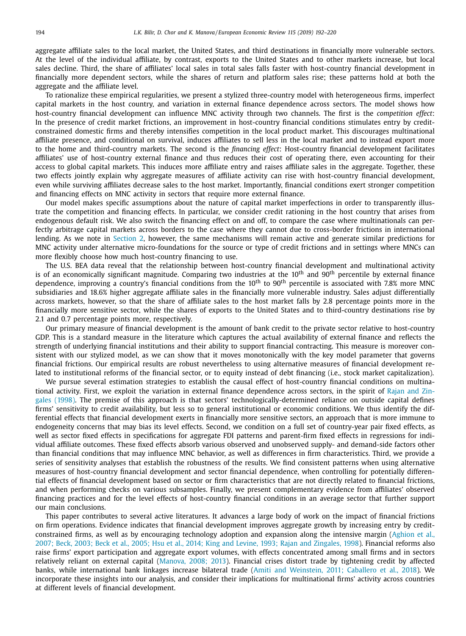aggregate affiliate sales to the local market, the United States, and third destinations in financially more vulnerable sectors. At the level of the individual affiliate, by contrast, exports to the United States and to other markets increase, but local sales decline. Third, the share of affiliates' local sales in total sales falls faster with host-country financial development in financially more dependent sectors, while the shares of return and platform sales rise; these patterns hold at both the aggregate and the affiliate level.

To rationalize these empirical regularities, we present a stylized three-country model with heterogeneous firms, imperfect capital markets in the host country, and variation in external finance dependence across sectors. The model shows how host-country financial development can influence MNC activity through two channels. The first is the *competition effect*: In the presence of credit market frictions, an improvement in host-country financial conditions stimulates entry by creditconstrained domestic firms and thereby intensifies competition in the local product market. This discourages multinational affiliate presence, and conditional on survival, induces affiliates to sell less in the local market and to instead export more to the home and third-country markets. The second is the *financing effect*: Host-country financial development facilitates affiliates' use of host-country external finance and thus reduces their cost of operating there, even accounting for their access to global capital markets. This induces more affiliate entry and raises affiliate sales in the aggregate. Together, these two effects jointly explain why aggregate measures of affiliate activity can rise with host-country financial development, even while surviving affiliates decrease sales to the host market. Importantly, financial conditions exert stronger competition and financing effects on MNC activity in sectors that require more external finance.

Our model makes specific assumptions about the nature of capital market imperfections in order to transparently illustrate the competition and financing effects. In particular, we consider credit rationing in the host country that arises from endogenous default risk. We also switch the financing effect on and off, to compare the case where multinationals can perfectly arbitrage capital markets across borders to the case where they cannot due to cross-border frictions in international lending. As we note in [Section](#page-4-0) 2, however, the same mechanisms will remain active and generate similar predictions for MNC activity under alternative micro-foundations for the source or type of credit frictions and in settings where MNCs can more flexibly choose how much host-country financing to use.

The U.S. BEA data reveal that the relationship between host-country financial development and multinational activity is of an economically significant magnitude. Comparing two industries at the  $10<sup>th</sup>$  and  $90<sup>th</sup>$  percentile by external finance dependence, improving a country's financial conditions from the  $10<sup>th</sup>$  to  $90<sup>th</sup>$  percentile is associated with 7.8% more MNC subsidiaries and 18.6% higher aggregate affiliate sales in the financially more vulnerable industry. Sales adjust differentially across markets, however, so that the share of affiliate sales to the host market falls by 2.8 percentage points more in the financially more sensitive sector, while the shares of exports to the United States and to third-country destinations rise by 2.1 and 0.7 percentage points more, respectively.

Our primary measure of financial development is the amount of bank credit to the private sector relative to host-country GDP. This is a standard measure in the literature which captures the actual availability of external finance and reflects the strength of underlying financial institutions and their ability to support financial contracting. This measure is moreover consistent with our stylized model, as we can show that it moves monotonically with the key model parameter that governs financial frictions. Our empirical results are robust nevertheless to using alternative measures of financial development related to institutional reforms of the financial sector, or to equity instead of debt financing (i.e., stock market capitalization).

We pursue several estimation strategies to establish the causal effect of host-country financial conditions on multinational activity. First, we exploit the variation in external finance dependence across sectors, in the spirit of Rajan and Zingales (1998). The premise of this approach is that sectors' [technologically-determined](#page-28-0) reliance on outside capital defines firms' sensitivity to credit availability, but less so to general institutional or economic conditions. We thus identify the differential effects that financial development exerts in financially more sensitive sectors, an approach that is more immune to endogeneity concerns that may bias its level effects. Second, we condition on a full set of country-year pair fixed effects, as well as sector fixed effects in specifications for aggregate FDI patterns and parent-firm fixed effects in regressions for individual affiliate outcomes. These fixed effects absorb various observed and unobserved supply- and demand-side factors other than financial conditions that may influence MNC behavior, as well as differences in firm characteristics. Third, we provide a series of sensitivity analyses that establish the robustness of the results. We find consistent patterns when using alternative measures of host-country financial development and sector financial dependence, when controlling for potentially differential effects of financial development based on sector or firm characteristics that are not directly related to financial frictions, and when performing checks on various subsamples. Finally, we present complementary evidence from affiliates' observed financing practices and for the level effects of host-country financial conditions in an average sector that further support our main conclusions.

This paper contributes to several active literatures. It advances a large body of work on the impact of financial frictions on firm operations. Evidence indicates that financial development improves aggregate growth by increasing entry by creditconstrained firms, as well as by [encouraging](#page-27-0) technology adoption and expansion along the intensive margin (Aghion et al., 2007; Beck, 2003; Beck et al., 2005; Hsu et al., 2014; King and Levine, 1993; Rajan and Zingales, 1998). Financial reforms also raise firms' export participation and aggregate export volumes, with effects concentrated among small firms and in sectors relatively reliant on external capital [\(Manova,](#page-28-0) 2008; 2013). Financial crises distort trade by tightening credit by affected banks, while international bank linkages increase bilateral trade (Amiti and [Weinstein,](#page-27-0) 2011; Caballero et al., 2018). We incorporate these insights into our analysis, and consider their implications for multinational firms' activity across countries at different levels of financial development.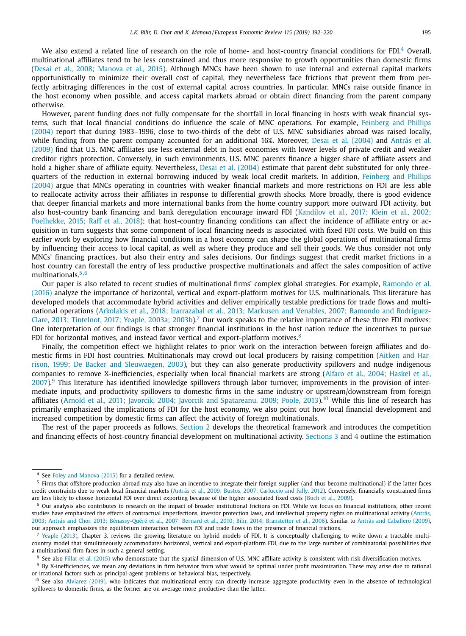We also extend a related line of research on the role of home- and host-country financial conditions for FDI.<sup>4</sup> Overall, multinational affiliates tend to be less constrained and thus more responsive to growth opportunities than domestic firms (Desai et al., 2008; [Manova](#page-28-0) et al., 2015). Although MNCs have been shown to use internal and external capital markets opportunistically to minimize their overall cost of capital, they nevertheless face frictions that prevent them from perfectly arbitraging differences in the cost of external capital across countries. In particular, MNCs raise outside finance in the host economy when possible, and access capital markets abroad or obtain direct financing from the parent company otherwise.

However, parent funding does not fully compensate for the shortfall in local financing in hosts with weak financial systems, such that local financial conditions do influence the scale of MNC operations. For example, Feinberg and Phillips (2004) report that during 1983–1996, close to two-thirds of the debt of U.S. MNC [subsidiaries](#page-28-0) abroad was raised locally, while funding from the parent company accounted for an additional 16%. Moreover, Desai et al. [\(2004\)](#page-28-0) and Antrás et al. (2009) find that U.S. MNC affiliates use less external debt in host [economies](#page-27-0) with lower levels of private credit and weaker creditor rights protection. Conversely, in such environments, U.S. MNC parents finance a bigger share of affiliate assets and hold a higher share of affiliate equity. Nevertheless, Desai et al. [\(2004\)](#page-28-0) estimate that parent debt substituted for only threequarters of the reduction in external borrowing induced by weak local credit markets. In addition, Feinberg and Phillips (2004) argue that MNCs operating in countries with weaker financial markets and more [restrictions](#page-28-0) on FDI are less able to reallocate activity across their affiliates in response to differential growth shocks. More broadly, there is good evidence that deeper financial markets and more international banks from the home country support more outward FDI activity, but also [host-country](#page-28-0) bank financing and bank deregulation encourage inward FDI (Kandilov et al., 2017; Klein et al., 2002; Poelhekke, 2015; Raff et al., 2018); that host-country financing conditions can affect the incidence of affiliate entry or acquisition in turn suggests that some component of local financing needs is associated with fixed FDI costs. We build on this earlier work by exploring how financial conditions in a host economy can shape the global operations of multinational firms by influencing their access to local capital, as well as where they produce and sell their goods. We thus consider not only MNCs' financing practices, but also their entry and sales decisions. Our findings suggest that credit market frictions in a host country can forestall the entry of less productive prospective multinationals and affect the sales composition of active multinationals.5,6

Our paper is also related to recent studies of multinational firms' complex global strategies. For example, Ramondo et al. (2016) analyze the importance of horizontal, vertical and [export-platform](#page-28-0) motives for U.S. multinationals. This literature has developed models that accommodate hybrid activities and deliver empirically testable predictions for trade flows and multinational operations (Arkolakis et al., 2018; Irarrazabal et al., 2013; Markusen and Venables, 2007; Ramondo and RodríguezClare, 2013; Tintelnot, 2017; Yeaple, 2003a; 2003b).<sup>7</sup> Our work speaks to the relative [importance](#page-27-0) of these three FDI motives: One interpretation of our findings is that stronger financial institutions in the host nation reduce the incentives to pursue FDI for horizontal motives, and instead favor vertical and export-platform motives. $8$ 

Finally, the competition effect we highlight relates to prior work on the interaction between foreign affiliates and domestic firms in FDI host countries. [Multinationals](#page-27-0) may crowd out local producers by raising competition (Aitken and Harrison, 1999; De Backer and Sleuwaegen, 2003), but they can also generate productivity spillovers and nudge indigenous companies to remove [X-inefficiencies,](#page-27-0) especially when local financial markets are strong (Alfaro et al., 2004; Haskel et al.,  $2007$ ).<sup>9</sup> This literature has identified knowledge spillovers through labor turnover, improvements in the provision of intermediate inputs, and productivity spillovers to domestic firms in the same industry or upstream/downstream from foreign affiliates (Arnold et al., 2011; Javorcik, 2004; Javorcik and [Spatareanu,](#page-27-0) 2009; Poole, 2013).<sup>10</sup> While this line of research has primarily emphasized the implications of FDI for the host economy, we also point out how local financial development and increased competition by domestic firms can affect the activity of foreign multinationals.

The rest of the paper proceeds as follows. [Section](#page-4-0) 2 develops the theoretical framework and introduces the competition and financing effects of host-country financial development on multinational activity. [Sections](#page-10-0) 3 and [4](#page-12-0) outline the estimation

<sup>4</sup> See Foley and [Manova](#page-28-0) (2015) for a detailed review.

<sup>&</sup>lt;sup>5</sup> Firms that offshore production abroad may also have an incentive to integrate their foreign supplier (and thus become multinational) if the latter faces credit constraints due to weak local financial markets (Antrás et al., 2009; Bustos, 2007; [Carluccio](#page-27-0) and Fally, 2012). Conversely, financially constrained firms are less likely to choose horizontal FDI over direct exporting because of the higher associated fixed costs (Buch et al., [2009\)](#page-28-0).

<sup>6</sup> Our analysis also contributes to research on the impact of broader institutional frictions on FDI. While we focus on financial institutions, other recent studies have emphasized the effects of contractual imperfections, investor protection laws, and intellectual property rights on multinational activity (Antràs, 2003; Antrás and Chor, 2013; [Bénassy-Quéré et](#page-27-0) al., 2007; Bernard et al., 2010; Bilir, 2014; Branstetter et al., 2006). Similar to Antràs and [Caballero](#page-27-0) (2009), our approach emphasizes the equilibrium interaction between FDI and trade flows in the presence of financial frictions.

<sup>&</sup>lt;sup>7</sup> Yeaple [\(2013\),](#page-28-0) Chapter 3, reviews the growing literature on hybrid models of FDI. It is conceptually challenging to write down a tractable multicountry model that simultaneously accommodates horizontal, vertical and export-platform FDI, due to the large number of combinatorial possibilities that a multinational firm faces in such a general setting.

<sup>8</sup> See also Fillat et al. [\(2015\)](#page-28-0) who demonstrate that the spatial dimension of U.S. MNC affiliate activity is consistent with risk diversification motives.

<sup>&</sup>lt;sup>9</sup> By X-inefficiencies, we mean any deviations in firm behavior from what would be optimal under profit maximization. These may arise due to rational or irrational factors such as principal-agent problems or behavioral bias, respectively.

<sup>&</sup>lt;sup>10</sup> See also [Alviarez](#page-27-0) (2019), who indicates that multinational entry can directly increase aggregate productivity even in the absence of technological spillovers to domestic firms, as the former are on average more productive than the latter.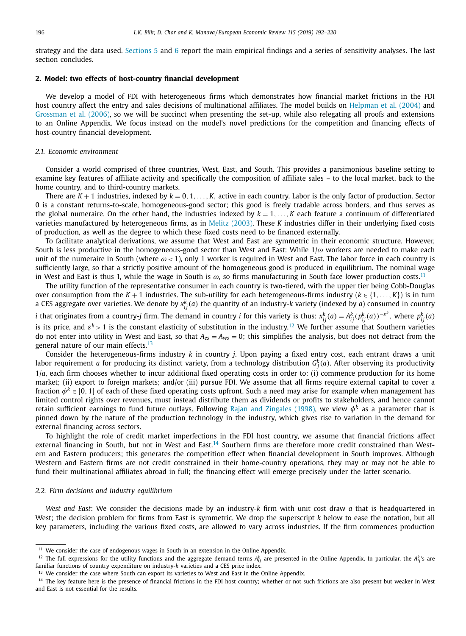<span id="page-4-0"></span>strategy and the data used. [Sections](#page-15-0) 5 and [6](#page-18-0) report the main empirical findings and a series of sensitivity analyses. The last section concludes.

#### **2. Model: two effects of host-country financial development**

We develop a model of FDI with heterogeneous firms which demonstrates how financial market frictions in the FDI host country affect the entry and sales decisions of multinational affiliates. The model builds on [Helpman](#page-28-0) et al. (2004) and [Grossman](#page-28-0) et al. (2006), so we will be succinct when presenting the set-up, while also relegating all proofs and extensions to an Online Appendix. We focus instead on the model's novel predictions for the competition and financing effects of host-country financial development.

#### *2.1. Economic environment*

Consider a world comprised of three countries, West, East, and South. This provides a parsimonious baseline setting to examine key features of affiliate activity and specifically the composition of affiliate sales – to the local market, back to the home country, and to third-country markets.

There are  $K + 1$  industries, indexed by  $k = 0, 1, \ldots, K$ , active in each country. Labor is the only factor of production. Sector 0 is a constant returns-to-scale, homogeneous-good sector; this good is freely tradable across borders, and thus serves as the global numeraire. On the other hand, the industries indexed by  $k = 1, ..., K$  each feature a continuum of differentiated varieties manufactured by heterogeneous firms, as in Melitz [\(2003\).](#page-28-0) These *K* industries differ in their underlying fixed costs of production, as well as the degree to which these fixed costs need to be financed externally.

To facilitate analytical derivations, we assume that West and East are symmetric in their economic structure. However, South is less productive in the homogeneous-good sector than West and East: While  $1/\omega$  workers are needed to make each unit of the numeraire in South (where  $\omega$  < 1), only 1 worker is required in West and East. The labor force in each country is sufficiently large, so that a strictly positive amount of the homogeneous good is produced in equilibrium. The nominal wage in West and East is thus 1, while the wage in South is  $\omega$ , so firms manufacturing in South face lower production costs.<sup>11</sup>

The utility function of the representative consumer in each country is two-tiered, with the upper tier being Cobb-Douglas over consumption from the  $K + 1$  industries. The sub-utility for each heterogeneous-firms industry  $(k \in \{1, \ldots, K\})$  is in turn a CES aggregate over varieties. We denote by  $x_{ij}^k(a)$  the quantity of an industry-*k* variety (indexed by *a*) consumed in country

*i* that originates from a country-*j* firm. The demand in country *i* for this variety is thus:  $x_{ij}^k(a) = A_{ij}^k(p_{ij}^k(a))^{-\varepsilon^k}$ , where  $p_{ij}^k(a)$ is its price, and  $\varepsilon^k > 1$  is the constant elasticity of substitution in the industry.<sup>12</sup> We further assume that Southern varieties do not enter into utility in West and East, so that  $A_{es} = A_{ws} = 0$ ; this simplifies the analysis, but does not detract from the general nature of our main effects.<sup>13</sup>

Consider the heterogeneous-firms industry *k* in country *j*. Upon paying a fixed entry cost, each entrant draws a unit labor requirement  $a$  for producing its distinct variety, from a technology distribution  $G_j^k(a)$ . After observing its productivity 1/*a*, each firm chooses whether to incur additional fixed operating costs in order to: (i) commence production for its home market; (ii) export to foreign markets; and/or (iii) pursue FDI. We assume that all firms require external capital to cover a fraction  $\phi^k \in [0, 1]$  of each of these fixed operating costs upfront. Such a need may arise for example when management has limited control rights over revenues, must instead distribute them as dividends or profits to stakeholders, and hence cannot retain sufficient earnings to fund future outlays. Following Rajan and [Zingales](#page-28-0) (1998), we view  $\phi^k$  as a parameter that is pinned down by the nature of the production technology in the industry, which gives rise to variation in the demand for external financing across sectors.

To highlight the role of credit market imperfections in the FDI host country, we assume that financial frictions affect external financing in South, but not in West and East.<sup>14</sup> Southern firms are therefore more credit constrained than Western and Eastern producers; this generates the competition effect when financial development in South improves. Although Western and Eastern firms are not credit constrained in their home-country operations, they may or may not be able to fund their multinational affiliates abroad in full; the financing effect will emerge precisely under the latter scenario.

#### *2.2. Firm decisions and industry equilibrium*

*West and East*: We consider the decisions made by an industry-*k* firm with unit cost draw *a* that is headquartered in West; the decision problem for firms from East is symmetric. We drop the superscript *k* below to ease the notation, but all key parameters, including the various fixed costs, are allowed to vary across industries. If the firm commences production

<sup>&</sup>lt;sup>11</sup> We consider the case of endogenous wages in South in an extension in the Online Appendix.

<sup>&</sup>lt;sup>12</sup> The full expressions for the utility functions and the aggregate demand terms  $A^k_{ij}$  are presented in the Online Appendix. In particular, the  $A^k_{ij}$ 's are familiar functions of country expenditure on industry-*k* varieties and a CES price index.

<sup>&</sup>lt;sup>13</sup> We consider the case where South can export its varieties to West and East in the Online Appendix.

<sup>&</sup>lt;sup>14</sup> The key feature here is the presence of financial frictions in the FDI host country; whether or not such frictions are also present but weaker in West and East is not essential for the results.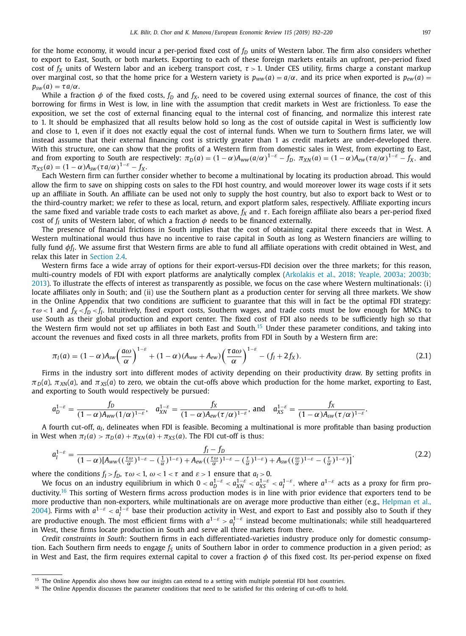<span id="page-5-0"></span>for the home economy, it would incur a per-period fixed cost of  $f<sub>D</sub>$  units of Western labor. The firm also considers whether to export to East, South, or both markets. Exporting to each of these foreign markets entails an upfront, per-period fixed cost of  $f_X$  units of Western labor and an iceberg transport cost,  $\tau > 1$ . Under CES utility, firms charge a constant markup over marginal cost, so that the home price for a Western variety is  $p_{ww}(a) = a/\alpha$ , and its price when exported is  $p_{ew}(a)$  $p_{sw}(a) = \tau a/\alpha$ .

While a fraction  $\phi$  of the fixed costs,  $f_D$  and  $f_X$ , need to be covered using external sources of finance, the cost of this borrowing for firms in West is low, in line with the assumption that credit markets in West are frictionless. To ease the exposition, we set the cost of external financing equal to the internal cost of financing, and normalize this interest rate to 1. It should be emphasized that all results below hold so long as the cost of outside capital in West is sufficiently low and close to 1, even if it does not exactly equal the cost of internal funds. When we turn to Southern firms later, we will instead assume that their external financing cost is strictly greater than 1 as credit markets are under-developed there. With this structure, one can show that the profits of a Western firm from domestic sales in West, from exporting to East, and from exporting to South are respectively:  $\pi_D(a) = (1 - \alpha)A_{ww}(a/\alpha)^{1-\varepsilon} - f_D$ ,  $\pi_{XN}(a) = (1 - \alpha)A_{ew}(\tau a/\alpha)^{1-\varepsilon} - f_X$ , and  $\pi_{XS}(a) = (1 - \alpha) A_{sw}(\tau a/\alpha)^{1-\varepsilon} - f_X.$ 

Each Western firm can further consider whether to become a multinational by locating its production abroad. This would allow the firm to save on shipping costs on sales to the FDI host country, and would moreover lower its wage costs if it sets up an affiliate in South. An affiliate can be used not only to supply the host country, but also to export back to West or to the third-country market; we refer to these as local, return, and export platform sales, respectively. Affiliate exporting incurs the same fixed and variable trade costs to each market as above,  $f_X$  and  $\tau$ . Each foreign affiliate also bears a per-period fixed cost of  $f_I$  units of Western labor, of which a fraction  $\phi$  needs to be financed externally.

The presence of financial frictions in South implies that the cost of obtaining capital there exceeds that in West. A Western multinational would thus have no incentive to raise capital in South as long as Western financiers are willing to fully fund φ*fI*. We assume first that Western firms are able to fund all affiliate operations with credit obtained in West, and relax this later in [Section](#page-9-0) 2.4.

Western firms face a wide array of options for their export-versus-FDI decision over the three markets; for this reason, multi-country models of FDI with export platforms are analytically complex (Arkolakis et al., 2018; Yeaple, 2003a; 2003b; 2013). To illustrate the effects of interest as transparently as possible, we focus on the case where Western [multinationals:](#page-27-0) (i) locate affiliates only in South; and (ii) use the Southern plant as a production center for serving all three markets. We show in the Online Appendix that two conditions are sufficient to guarantee that this will in fact be the optimal FDI strategy:  $\tau \omega$  < 1 and  $f_X < f_D < f_I$ . Intuitively, fixed export costs, Southern wages, and trade costs must be low enough for MNCs to use South as their global production and export center. The fixed cost of FDI also needs to be sufficiently high so that the Western firm would not set up affiliates in both East and South.<sup>15</sup> Under these parameter conditions, and taking into account the revenues and fixed costs in all three markets, profits from FDI in South by a Western firm are:

$$
\pi_I(a) = (1 - \alpha) A_{sw} \left(\frac{a\omega}{\alpha}\right)^{1-\epsilon} + (1 - \alpha) (A_{ww} + A_{ew}) \left(\frac{\tau a\omega}{\alpha}\right)^{1-\epsilon} - (f_I + 2f_X).
$$
\n(2.1)

Firms in the industry sort into different modes of activity depending on their productivity draw. By setting profits in  $\pi_D(a)$ ,  $\pi_{XN}(a)$ , and  $\pi_{XS}(a)$  to zero, we obtain the cut-offs above which production for the home market, exporting to East, and exporting to South would respectively be pursued:

$$
a_D^{1-\varepsilon}=\frac{f_D}{(1-\alpha)A_{ww}(1/\alpha)^{1-\varepsilon}},\quad a_{XN}^{1-\varepsilon}=\frac{f_X}{(1-\alpha)A_{ew}(\tau/\alpha)^{1-\varepsilon}},\text{ and}\quad a_{XS}^{1-\varepsilon}=\frac{f_X}{(1-\alpha)A_{sw}(\tau/\alpha)^{1-\varepsilon}}.
$$

A fourth cut-off, *a<sub>I</sub>*, delineates when FDI is feasible. Becoming a multinational is more profitable than basing production in West when  $\pi_I(a) > \pi_D(a) + \pi_{XN}(a) + \pi_{XS}(a)$ . The FDI cut-off is thus:

$$
a_l^{1-\varepsilon} = \frac{f_l - f_D}{(1-\alpha)[A_{ww}((\frac{\tau\omega}{\alpha})^{1-\varepsilon} - (\frac{1}{\alpha})^{1-\varepsilon}) + A_{ew}((\frac{\tau\omega}{\alpha})^{1-\varepsilon} - (\frac{\tau}{\alpha})^{1-\varepsilon}) + A_{sw}((\frac{\omega}{\alpha})^{1-\varepsilon} - (\frac{\tau}{\alpha})^{1-\varepsilon})]},
$$
(2.2)

where the conditions  $f_I > f_D$ ,  $\tau \omega < 1$ ,  $\omega < 1 < \tau$  and  $\varepsilon > 1$  ensure that  $a_I > 0$ .

We focus on an industry equilibrium in which  $0 < a_D^{1-\varepsilon} < a_{XN}^{1-\varepsilon} < a_X^{1-\varepsilon} < a_I^{1-\varepsilon}$ , where  $a^{1-\varepsilon}$  acts as a proxy for firm productivity.<sup>16</sup> This sorting of Western firms across production modes is in line with prior evidence that exporters tend to be more productive than [non-exporters,](#page-28-0) while multinationals are on average more productive than either (e.g., Helpman et al., 2004). Firms with  $a^{1-\epsilon} < a_1^{1-\epsilon}$  base their production activity in West, and export to East and possibly also to South if they are productive enough. The most efficient firms with  $a^{1-\epsilon} > a^{1-\epsilon}$  instead become multinationals; while still headquartered in West, these firms locate production in South and serve all three markets from there.

*Credit constraints in South*: Southern firms in each differentiated-varieties industry produce only for domestic consumption. Each Southern firm needs to engage  $f_S$  units of Southern labor in order to commence production in a given period; as in West and East, the firm requires external capital to cover a fraction  $\phi$  of this fixed cost. Its per-period expense on fixed

<sup>&</sup>lt;sup>15</sup> The Online Appendix also shows how our insights can extend to a setting with multiple potential FDI host countries.

<sup>&</sup>lt;sup>16</sup> The Online Appendix discusses the parameter conditions that need to be satisfied for this ordering of cut-offs to hold.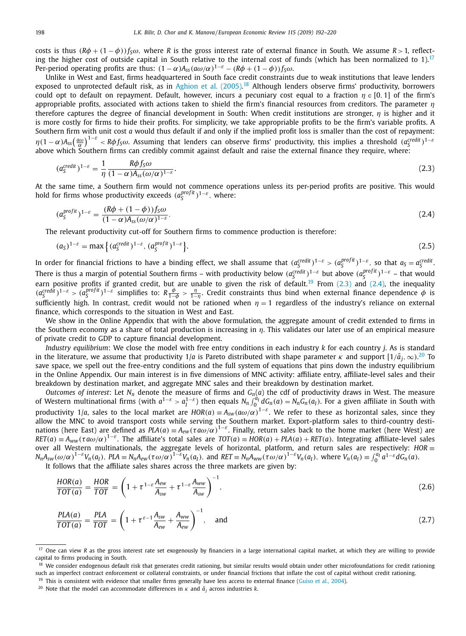<span id="page-6-0"></span>costs is thus  $(R\phi + (1 - \phi))f<sub>S</sub>\omega$ , where *R* is the gross interest rate of external finance in South. We assume  $R > 1$ , reflecting the higher cost of outside capital in South relative to the internal cost of funds (which has been normalized to 1).<sup>17</sup> Per-period operating profits are thus:  $(1 - \alpha)A_{ss}(a\omega/\alpha)^{1-\epsilon} - (R\phi + (1 - \phi))f_s\omega$ .

Unlike in West and East, firms headquartered in South face credit constraints due to weak institutions that leave lenders exposed to unprotected default risk, as in [Aghion](#page-27-0) et al. (2005).<sup>18</sup> Although lenders observe firms' productivity, borrowers could opt to default on repayment. Default, however, incurs a pecuniary cost equal to a fraction  $n \in [0, 1]$  of the firm's appropriable profits, associated with actions taken to shield the firm's financial resources from creditors. The parameter  $n$ therefore captures the degree of financial development in South: When credit institutions are stronger,  $n$  is higher and it is more costly for firms to hide their profits. For simplicity, we take appropriable profits to be the firm's variable profits. A Southern firm with unit cost *a* would thus default if and only if the implied profit loss is smaller than the cost of repayment:  $\eta(1-\alpha)A_{ss}\left(\frac{a\omega}{\alpha}\right)^{1-\varepsilon} < R\phi f_S\omega$ . Assuming that lenders can observe firms' productivity, this implies a threshold  $(a_S^{credit})^{1-\varepsilon}$ <br>above which Southern firms can credibly commit against default and raise the extern

$$
(a_{\mathcal{S}}^{credit})^{1-\varepsilon} = \frac{1}{\eta} \frac{R\phi f_{\mathcal{S}}\omega}{(1-\alpha)A_{\mathcal{S}}(\omega/\alpha)^{1-\varepsilon}}.
$$
\n(2.3)

At the same time, a Southern firm would not commence operations unless its per-period profits are positive. This would hold for firms whose productivity exceeds  $(a_S^{profit})^{1-\varepsilon}$ , where:

$$
(a_S^{projit})^{1-\varepsilon} = \frac{(R\phi + (1-\phi))f_S\omega}{(1-\alpha)A_{ss}(\omega/\alpha)^{1-\varepsilon}}.\tag{2.4}
$$

The relevant productivity cut-off for Southern firms to commence production is therefore:

$$
(aS)1-\varepsilon = \max \left\{ (aScredit)1-\varepsilon, (aSprofit)1-\varepsilon \right\}.
$$
 (2.5)

In order for financial frictions to have a binding effect, we shall assume that  $(a_S^{credit})^{1-\varepsilon} > (a_S^{profit})^{1-\varepsilon}$ , so that  $a_S = a_S^{credit}$ . There is thus a margin of potential Southern firms – with productivity below  $(a_S^{credit})^{1-\varepsilon}$  but above  $(a_S^{profit})^{1-\varepsilon}$  – that would earn positive profits if granted credit, but are unable to given the risk of default.<sup>19</sup> From  $(2.3)$  and  $(2.4)$ , the inequality  $(a_5^{credit})^{1-\varepsilon} > (a_5^{proofit})^{1-\varepsilon}$  simplifies to:  $R\frac{\phi}{1-\phi} > \frac{\eta}{1-\eta}$ . Credit constraints thus bind when external finance dependence  $\phi$  is sufficiently high. In contrast, credit would not be rationed when  $\eta = 1$  regardless of the industry's reliance on external finance, which corresponds to the situation in West and East.

We show in the Online Appendix that with the above formulation, the aggregate amount of credit extended to firms in the Southern economy as a share of total production is increasing in  $\eta$ . This validates our later use of an empirical measure of private credit to GDP to capture financial development.

*Industry equilibrium*: We close the model with free entry conditions in each industry *k* for each country *j*. As is standard in the literature, we assume that productivity 1/a is Pareto distributed with shape parameter  $\kappa$  and support  $[1/\bar a_j,\infty).^{20}$  To save space, we spell out the free-entry conditions and the full system of equations that pins down the industry equilibrium in the Online Appendix. Our main interest is in five dimensions of MNC activity: affiliate entry, affiliate-level sales and their breakdown by destination market, and aggregate MNC sales and their breakdown by destination market.

*Outcomes* of *interest*: Let  $N_n$  denote the measure of firms and  $G_n(a)$  the cdf of productivity draws in West. The measure of Western multinational firms (with  $a^{1-\varepsilon} > a_l^{1-\varepsilon}$ ) then equals  $N_n \int_0^{a_l} dG_n(a) = N_n \tilde{G}_n(a_l)$ . For a given affiliate in South with productivity 1/a, sales to the local market are  $HOR(a) \equiv A_{sw}(a\omega/\alpha)^{1-\varepsilon}$ . We refer to these as horizontal sales, since they allow the MNC to avoid transport costs while serving the Southern market. Export-platform sales to third-country destinations (here East) are defined as  $PLA(a) \equiv A_{ew}(\tau a\omega/\alpha)^{1-\varepsilon}$ . Finally, return sales back to the home market (here West) are  $RET(a) \equiv A_{WW}(\tau a\omega/\alpha)^{1-\epsilon}$ . The affiliate's total sales are  $TOT(a) = HOR(a) + PLA(a) + RET(a)$ . Integrating affiliate-level sales over all Western multinationals, the aggregate levels of horizontal, platform, and return sales are respectively: *HOR* ≡  $N_n A_{sw}(\omega/\alpha)^{1-\epsilon} V_n(a_I)$ ,  $PLA = N_n A_{ew}(\tau \omega/\alpha)^{1-\epsilon} V_n(a_I)$ , and  $RET = N_n A_{ww}(\tau \omega/\alpha)^{1-\epsilon} V_n(a_I)$ , where  $V_n(a_I) = \int_0^{a_I} a^{1-\epsilon} d\vec{G}_n(a)$ .<br>It follows that the affiliate sales shares across the three markets are given by:

$$
\frac{HOR(a)}{TOT(a)} = \frac{HOR}{TOT} = \left(1 + \tau^{1-\varepsilon}\frac{A_{ew}}{A_{sw}} + \tau^{1-\varepsilon}\frac{A_{ww}}{A_{sw}}\right)^{-1},\tag{2.6}
$$

$$
\frac{PLA(a)}{TOT(a)} = \frac{PLA}{TOT} = \left(1 + \tau^{\varepsilon - 1}\frac{A_{sw}}{A_{ew}} + \frac{A_{ww}}{A_{ew}}\right)^{-1}, \text{ and}
$$
\n(2.7)

<sup>&</sup>lt;sup>17</sup> One can view *R* as the gross interest rate set exogenously by financiers in a large international capital market, at which they are willing to provide capital to firms producing in South.

<sup>&</sup>lt;sup>18</sup> We consider endogenous default risk that generates credit rationing, but similar results would obtain under other microfoundations for credit rationing such as imperfect contract enforcement or collateral constraints, or under financial frictions that inflate the cost of capital without credit rationing.

<sup>&</sup>lt;sup>19</sup> This is consistent with evidence that smaller firms generally have less access to external finance [\(Guiso](#page-28-0) et al., 2004).

<sup>&</sup>lt;sup>20</sup> Note that the model can accommodate differences in  $\kappa$  and  $\bar{a}_i$  across industries *k*.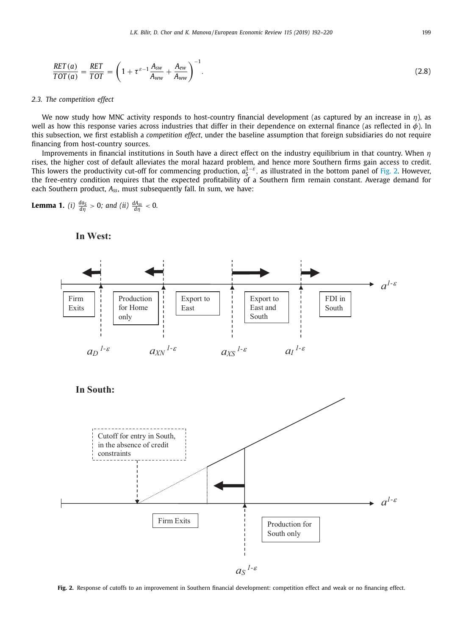<span id="page-7-0"></span>
$$
\frac{RET(a)}{TOT(a)} = \frac{RET}{TOT} = \left(1 + \tau^{\varepsilon - 1} \frac{A_{sw}}{A_{ww}} + \frac{A_{ew}}{A_{ww}}\right)^{-1}.
$$
\n(2.8)

#### *2.3. The competition effect*

We now study how MNC activity responds to host-country financial development (as captured by an increase in  $\eta$ ), as well as how this response varies across industries that differ in their dependence on external finance (as reflected in  $\phi$ ). In this subsection, we first establish a *competition effect*, under the baseline assumption that foreign subsidiaries do not require financing from host-country sources.

Improvements in financial institutions in South have a direct effect on the industry equilibrium in that country. When  $\eta$ rises, the higher cost of default alleviates the moral hazard problem, and hence more Southern firms gain access to credit. This lowers the productivity cut-off for commencing production,  $a_0^{1-\epsilon}$ , as illustrated in the bottom panel of Fig. 2. However, the free-entry condition requires that the expected profitability of a Southern firm remain constant. Average demand for each Southern product, *Ass*, must subsequently fall. In sum, we have:

**Lemma 1.** (i) 
$$
\frac{da_S}{d\eta} > 0
$$
; and (ii)  $\frac{dA_{SS}}{d\eta} < 0$ .



**In West:**

**Fig. 2.** Response of cutoffs to an improvement in Southern financial development: competition effect and weak or no financing effect.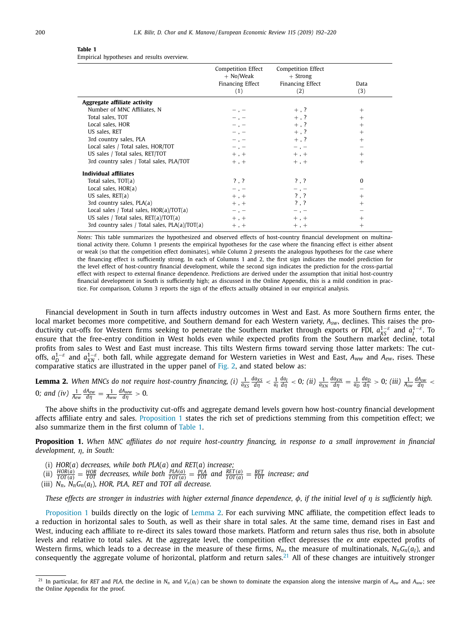#### <span id="page-8-0"></span>**Table 1**

Empirical hypotheses and results overview.

|                                                | Competition Effect<br>$+$ No/Weak<br>Financing Effect<br>(1) | Competition Effect<br>$+$ Strong<br>Financing Effect<br>(2) | Data<br>(3) |
|------------------------------------------------|--------------------------------------------------------------|-------------------------------------------------------------|-------------|
| Aggregate affiliate activity                   |                                                              |                                                             |             |
| Number of MNC Affiliates, N                    |                                                              | $+$ , ?                                                     | $^{+}$      |
| Total sales, TOT                               | $-$ , $-$                                                    | $+$ , ?                                                     | $+$         |
| Local sales, HOR                               | $-$ , $-$                                                    | $+$ , ?                                                     | $+$         |
| US sales, RET                                  | $-$ , $-$                                                    | $+$ , ?                                                     | $^{+}$      |
| 3rd country sales, PLA                         | $-$ , $-$                                                    | $+$ , ?                                                     | $+$         |
| Local sales / Total sales, HOR/TOT             | $-$ , $-$                                                    | $-$ , $-$                                                   |             |
| US sales / Total sales, RET/TOT                | $+$ , $+$                                                    | $+$ , $+$                                                   | $+$         |
| 3rd country sales / Total sales, PLA/TOT       | $+$ , $+$                                                    | $+$ , $+$                                                   | $+$         |
| Individual affiliates                          |                                                              |                                                             |             |
| Total sales, TOT(a)                            | ?.?                                                          | $? \ .  ?$                                                  | $\Omega$    |
| Local sales, $HOR(a)$                          | $-$ , $-$                                                    | $-$ , $-$                                                   |             |
| US sales, $RET(a)$                             | $+$ , $+$                                                    | $?$ , $?$                                                   | $^{+}$      |
| 3rd country sales, $PLA(a)$                    | $+$ , $+$                                                    | $?$ , $?$                                                   | $^{+}$      |
| Local sales / Total sales, $HOR(a)/TOT(a)$     | $-$ , $-$                                                    | $-$ , $-$                                                   |             |
| US sales / Total sales, $RET(a)/TOT(a)$        | $+$ , $+$                                                    | $+$ , $+$                                                   | $^{+}$      |
| 3rd country sales / Total sales, PLA(a)/TOT(a) | $+$ , $+$                                                    | $+$ , $+$                                                   | $^{+}$      |

*Notes:* This table summarizes the hypothesized and observed effects of host-country financial development on multinational activity there. Column 1 presents the empirical hypotheses for the case where the financing effect is either absent or weak (so that the competition effect dominates), while Column 2 presents the analogous hypotheses for the case where the financing effect is sufficiently strong. In each of Columns 1 and 2, the first sign indicates the model prediction for the level effect of host-country financial development, while the second sign indicates the prediction for the cross-partial effect with respect to external finance dependence. Predictions are derived under the assumption that initial host-country financial development in South is sufficiently high; as discussed in the Online Appendix, this is a mild condition in practice. For comparison, Column 3 reports the sign of the effects actually obtained in our empirical analysis.

Financial development in South in turn affects industry outcomes in West and East. As more Southern firms enter, the local market becomes more competitive, and Southern demand for each Western variety, *Asw*, declines. This raises the productivity cut-offs for Western firms seeking to penetrate the Southern market through exports or FDI,  $a_{XS}^{1-\epsilon}$  and  $a_I^{1-\epsilon}$ . To ensure that the free-entry condition in West holds even while expected profits from the Southern market decline, total profits from sales to West and East must increase. This tilts Western firms toward serving those latter markets: The cutoffs,  $a_{D}^{1-\varepsilon}$  and  $a_{NN}^{1-\varepsilon}$ , both fall, while aggregate demand for Western varieties in West and East,  $A_{WW}$  and  $A_{ew}$ , rises. These<br>comparative statics are illustrated in the upper panel of [Fig.](#page-7-0) 2, and stated

**Lemma 2.** When MNCs do not require host-country financing, (i)  $\frac{1}{a_{\text{XS}}} \frac{da_{\text{XS}}}{d\eta} < \frac{1}{a_{\text{I}}} \frac{da_{\text{I}}}{d\eta} < 0$ ; (ii)  $\frac{1}{a_{\text{XN}}} \frac{da_{\text{XN}}}{d\eta} = \frac{1}{a_{\text{D}}} \frac{da_{\text{I}}}{d\eta} > 0$ ; (iii)  $\frac{1}{A_{\text{SW}}} \frac{da_{\text$ 0; and (iv)  $\frac{1}{A_{ew}} \frac{dA_{ew}}{d\eta} = \frac{1}{A_{ww}} \frac{dA_{ww}}{d\eta} > 0.$ 

The above shifts in the productivity cut-offs and aggregate demand levels govern how host-country financial development affects affiliate entry and sales. Proposition 1 states the rich set of predictions stemming from this competition effect; we also summarize them in the first column of Table 1.

Proposition 1. When MNC affiliates do not require host-country financing, in response to a small improvement in financial *development,* η*, in South:*

- 
- (i) HOR(a) decreases, while both PLA(a) and RET(a) increase;<br>(ii)  $\frac{HOR(a)}{TOT(a)} = \frac{HOR}{TOT}$  decreases, while both  $\frac{PLA(a)}{TOT(a)} = \frac{PLA}{TOT}$  and  $\frac{RET(a)}{TOT(a)} = \frac{RET}{TOT}$  increase; and
- (iii) *Nn, NnGn*(*aI*), *HOR, PLA, RET and TOT all decrease.*

These effects are stronger in industries with higher external finance dependence,  $\phi$ , if the initial level of  $\eta$  is sufficiently high.

Proposition 1 builds directly on the logic of Lemma 2. For each surviving MNC affiliate, the competition effect leads to a reduction in horizontal sales to South, as well as their share in total sales. At the same time, demand rises in East and West, inducing each affiliate to re-direct its sales toward those markets. Platform and return sales thus rise, both in absolute levels and relative to total sales. At the aggregate level, the competition effect depresses the *ex ante* expected profits of Western firms, which leads to a decrease in the measure of these firms,  $N_n$ , the measure of multinationals,  $N_nG_n(a_l)$ , and consequently the aggregate volume of horizontal, platform and return sales.<sup>21</sup> All of these changes are intuitively stronger

<sup>&</sup>lt;sup>21</sup> In particular, for *RET* and *PLA*, the decline in  $N_n$  and  $V_n(a_l)$  can be shown to dominate the expansion along the intensive margin of  $A_{ew}$  and  $A_{ww}$ ; see the Online Appendix for the proof.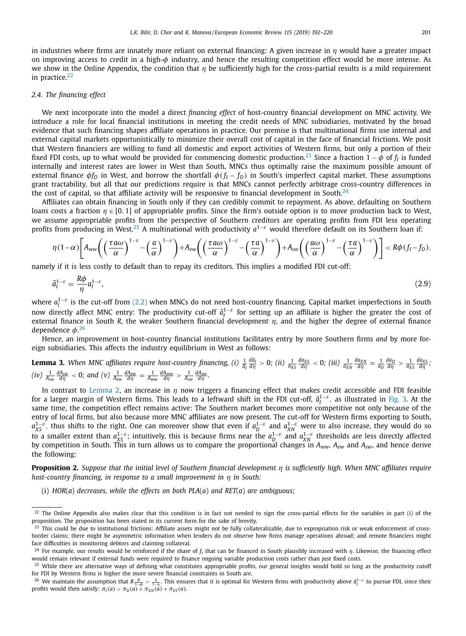<span id="page-9-0"></span>in industries where firms are innately more reliant on external financing: A given increase in  $\eta$  would have a greater impact on improving access to credit in a high-φ industry, and hence the resulting competition effect would be more intense. As we show in the Online Appendix, the condition that  $\eta$  be sufficiently high for the cross-partial results is a mild requirement in practice.<sup>22</sup>

#### *2.4. The financing effect*

We next incorporate into the model a direct *financing effect* of host-country financial development on MNC activity. We introduce a role for local financial institutions in meeting the credit needs of MNC subsidiaries, motivated by the broad evidence that such financing shapes affiliate operations in practice. Our premise is that multinational firms use internal and external capital markets opportunistically to minimize their overall cost of capital in the face of financial frictions. We posit that Western financiers are willing to fund all domestic and export activities of Western firms, but only a portion of their fixed FDI costs, up to what would be provided for commencing domestic production.<sup>23</sup> Since a fraction  $1 - \phi$  of  $f_I$  is funded internally and interest rates are lower in West than South, MNCs thus optimally raise the maximum possible amount of external finance  $\phi f_D$  in West, and borrow the shortfall  $\phi(f_I - f_D)$  in South's imperfect capital market. These assumptions grant tractability, but all that our predictions require is that MNCs cannot perfectly arbitrage cross-country differences in the cost of capital, so that affiliate activity will be responsive to financial development in South.<sup>24</sup>

Affiliates can obtain financing in South only if they can credibly commit to repayment. As above, defaulting on Southern loans costs a fraction  $\eta \in [0, 1]$  of appropriable profits. Since the firm's outside option is to move production back to West, we assume appropriable profits from the perspective of Southern creditors are operating profits from FDI less operating profits from producing in West.<sup>25</sup> A multinational with productivity *a*1−ε would therefore default on its Southern loan if:

$$
\eta(1-\alpha)\left[A_{ww}\left(\left(\frac{\tau a\omega}{\alpha}\right)^{1-\varepsilon}-\left(\frac{a}{\alpha}\right)^{1-\varepsilon}\right)+A_{ew}\left(\left(\frac{\tau a\omega}{\alpha}\right)^{1-\varepsilon}-\left(\frac{\tau a}{\alpha}\right)^{1-\varepsilon}\right)+A_{sw}\left(\left(\frac{a\omega}{\alpha}\right)^{1-\varepsilon}-\left(\frac{\tau a}{\alpha}\right)^{1-\varepsilon}\right)\right]
$$

namely if it is less costly to default than to repay its creditors. This implies a modified FDI cut-off:

$$
\tilde{a}_I^{1-\varepsilon} = \frac{R\phi}{\eta} a_I^{1-\varepsilon},\tag{2.9}
$$

where  $a_1^{1-\epsilon}$  is the cut-off from [\(2.2\)](#page-5-0) when MNCs do not need host-country financing. Capital market imperfections in South now directly affect MNC entry: The productivity cut-off  $\tilde{a}_I^{1-\varepsilon}$  for setting up an affiliate is higher the greater the cost of external finance in South *R*, the weaker Southern financial development  $\eta$ , and the higher the degree of external finance dependence  $\phi$ .<sup>26</sup>

Hence, an improvement in host-country financial institutions facilitates entry by more Southern firms *and* by more foreign subsidiaries. This affects the industry equilibrium in West as follows:

**Lemma 3.** When MNC affiliates require host-country financing, (i)  $\frac{1}{\tilde{a}_I} \frac{d\tilde{a}_I}{d\eta} > 0$ ; (ii)  $\frac{1}{a_{XS}} \frac{d a_{XS}}{d\eta} < 0$ ; (iii)  $\frac{1}{a_{XX}} \frac{d a_{XB}}{d\eta} = \frac{1}{a_D} \frac{d a_D}{d\eta} > \frac{1}{a_{XS}} \frac{d a_{XS}}{d\eta}$ ;  $(iv)$   $\frac{1}{A_{sw}} \frac{dA_{sw}}{d\eta} < 0$ ; and  $(v)$   $\frac{1}{A_{ew}} \frac{dA_{ew}}{d\eta} = \frac{1}{A_{ww}} \frac{dA_{ww}}{d\eta} > \frac{1}{A_{sw}} \frac{dA_{sw}}{d\eta}$ .

In contrast to [Lemma](#page-8-0) 2, an increase in  $\eta$  now triggers a financing effect that makes credit accessible and FDI feasible for a larger margin of Western firms. This leads to a leftward shift in the FDI cut-off,  $\tilde{a}_I^{1-\varepsilon}$ , as illustrated in [Fig.](#page-10-0) 3. At the same time, the competition effect remains active: The Southern market becomes more competitive not only because of the entry of local firms, but also because more MNC affiliates are now present. The cut-off for Western firms exporting to South, *a*<sup>1−ε</sup>, thus shifts to the right. One can moreover show that even if  $a_D^{1-ε}$  and  $a_{XN}^{1-ε}$  were to also increase, they would do so to a smaller extent than  $a_{XS}^{1-\epsilon}$ ; intuitively, this is because firms near the  $a_D^{1-\epsilon}$  and  $a_{XN}^{1-\epsilon}$  thresholds are less directly affected by competition in South. This in turn allows us to compare the proportional changes in *Aww, Aew* and *Asw*, and hence derive the following:

**Proposition 2.** Suppose that the initial level of Southern financial development n is sufficiently high. When MNC affiliates require *host-country financing, in response to a small improvement in* η *in South:*

(i) *HOR*(*a*) *decreases, while the effects on both PLA*(*a*) *and RET*(*a*) *are ambiguous;*

 $^{22}$  The Online Appendix also makes clear that this condition is in fact not needed to sign the cross-partial effects for the variables in part (i) of the proposition. The proposition has been stated in its current form for the sake of brevity.

<sup>&</sup>lt;sup>23</sup> This could be due to institutional frictions: Affiliate assets might not be fully collateralizable, due to expropriation risk or weak enforcement of crossborder claims; there might be asymmetric information when lenders do not observe how firms manage operations abroad; and remote financiers might face difficulties in monitoring debtors and claiming collateral.

<sup>&</sup>lt;sup>24</sup> For example, our results would be reinforced if the share of  $f_l$  that can be financed in South plausibly increased with  $\eta$ . Likewise, the financing effect would remain relevant if external funds were required to finance ongoing variable production costs rather than just fixed costs.

<sup>&</sup>lt;sup>25</sup> While there are alternative ways of defining what constitutes appropriable profits, our general insights would hold so long as the productivity cutoff for FDI by Western firms is higher the more severe financial constraints in South are.

<sup>&</sup>lt;sup>26</sup> We maintain the assumption that  $R\frac{\phi}{1-\phi} > \frac{\eta}{1-\eta}$ . This ensures that it is optimal for Western firms with productivity above  $\tilde{a}_l^{1-\epsilon}$  to pursue FDI, since their profits would then satisfy:  $\pi_l(a) > \pi_D(a) + \pi_{$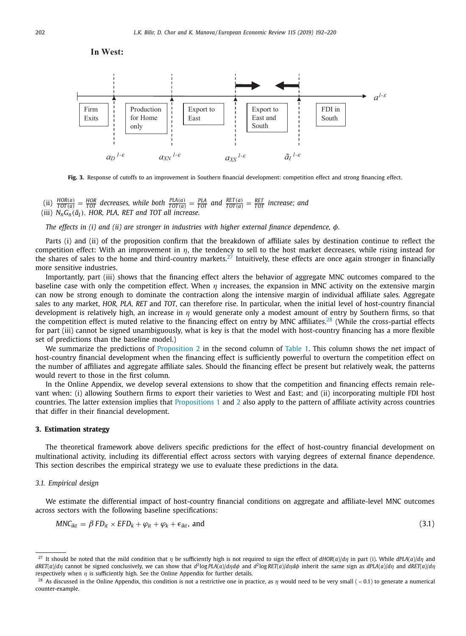

<span id="page-10-0"></span>

**Fig. 3.** Response of cutoffs to an improvement in Southern financial development: competition effect and strong financing effect.

(ii)  $\frac{HOR(a)}{TOT(a)} = \frac{HOR}{TOT}$  decreases, while both  $\frac{PLA(a)}{TOT(a)} = \frac{PLA}{TOT}$  and  $\frac{RET(a)}{TOT(a)} = \frac{RET}{TOT}$  increase; and (iii)  $N_nG_n(\tilde{a}_I)$ , HOR, PLA, RET and TOT all increase.

*The effects in (i) and (ii) are stronger in industries with higher external finance dependence,* φ*.*

Parts (i) and (ii) of the proposition confirm that the breakdown of affiliate sales by destination continue to reflect the competition effect: With an improvement in  $\eta$ , the tendency to sell to the host market decreases, while rising instead for the shares of sales to the home and third-country markets.<sup>27</sup> Intuitively, these effects are once again stronger in financially more sensitive industries.

Importantly, part (iii) shows that the financing effect alters the behavior of aggregate MNC outcomes compared to the baseline case with only the competition effect. When  $\eta$  increases, the expansion in MNC activity on the extensive margin can now be strong enough to dominate the contraction along the intensive margin of individual affiliate sales. Aggregate sales to any market, *HOR, PLA, RET* and *TOT*, can therefore rise. In particular, when the initial level of host-country financial development is relatively high, an increase in  $\eta$  would generate only a modest amount of entry by Southern firms, so that the competition effect is muted relative to the financing effect on entry by MNC affiliates.<sup>28</sup> (While the cross-partial effects for part (iii) cannot be signed unambiguously, what is key is that the model with host-country financing has a more flexible set of predictions than the baseline model.)

We summarize the predictions of [Proposition](#page-9-0) 2 in the second column of [Table](#page-8-0) 1. This column shows the net impact of host-country financial development when the financing effect is sufficiently powerful to overturn the competition effect on the number of affiliates and aggregate affiliate sales. Should the financing effect be present but relatively weak, the patterns would revert to those in the first column.

In the Online Appendix, we develop several extensions to show that the competition and financing effects remain relevant when: (i) allowing Southern firms to export their varieties to West and East; and (ii) incorporating multiple FDI host countries. The latter extension implies that [Propositions](#page-8-0) 1 and [2](#page-9-0) also apply to the pattern of affiliate activity across countries that differ in their financial development.

#### **3. Estimation strategy**

The theoretical framework above delivers specific predictions for the effect of host-country financial development on multinational activity, including its differential effect across sectors with varying degrees of external finance dependence. This section describes the empirical strategy we use to evaluate these predictions in the data.

#### *3.1. Empirical design*

We estimate the differential impact of host-country financial conditions on aggregate and affiliate-level MNC outcomes across sectors with the following baseline specifications:

$$
MNC_{ikt} = \beta FD_{it} \times EFD_k + \varphi_{it} + \varphi_k + \epsilon_{ikt}, \text{ and}
$$
\n(3.1)

<sup>&</sup>lt;sup>27</sup> It should be noted that the mild condition that  $\eta$  be sufficiently high is not required to sign the effect of  $dHOR(a)/d\eta$  in part (i). While  $dPLA(a)/d\eta$  and  $dRET(a)/d\eta$  cannot be signed conclusively, we can show that  $d^2\log PLA(a)/d\eta d\phi$  and  $d^2\log RET(a)/d\eta d\phi$  inherit the same sign as  $dPLA(a)/d\eta$  and  $dRET(a)/d\eta$ respectively when  $\eta$  is sufficiently high. See the Online Appendix for further details.

<sup>&</sup>lt;sup>28</sup> As discussed in the Online Appendix, this condition is not a restrictive one in practice, as  $\eta$  would need to be very small ( < 0.1) to generate a numerical counter-example.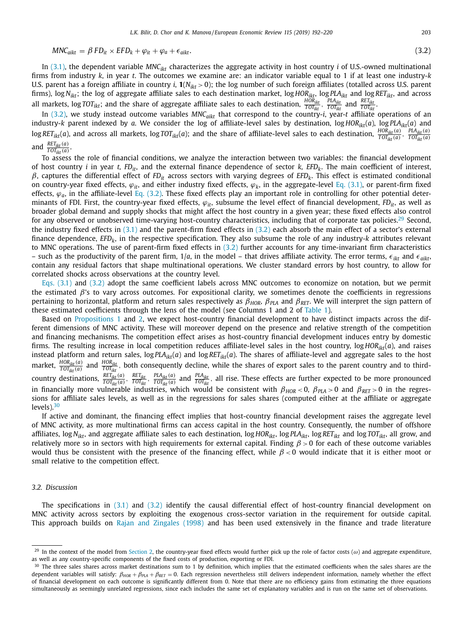$$
MNC_{aikt} = \beta FD_{it} \times EFD_k + \varphi_{it} + \varphi_a + \epsilon_{aikt}.
$$
\n(3.2)

<span id="page-11-0"></span>In [\(3.1\),](#page-10-0) the dependent variable  $MNC_{ik}$  characterizes the aggregate activity in host country *i* of U.S.-owned multinational firms from industry *k*, in year *t*. The outcomes we examine are: an indicator variable equal to 1 if at least one industry-*k* U.S. parent has a foreign affiliate in country *i*,  $\mathbf{1}(N_{ikt} > 0)$ ; the log number of such foreign affiliates (totalled across U.S. parent firms), log *Nikt*; the log of aggregate affiliate sales to each destination market, log *HORikt*, log *PLAikt* and log *RETikt*, and across all markets, log *TOT<sub>ikt</sub>*; and the share of aggregate affiliate sales to each destination,  $\frac{HOR_{ikt}}{TOT_{ikt}}$ ,  $\frac{PLA_{ikt}}{TOT_{ikt}}$  and  $\frac{RET_{ikt}}{TOT_{ikt}}$ .

In (3.2), we study instead outcome variables *MNCaikt* that correspond to the country-*i*, year-*t* affiliate operations of an industry-*k* parent indexed by *a*. We consider the log of affiliate-level sales by destination, log *HOR<sub>ikt</sub>*(*a*), log *PLA<sub>ikt</sub>*(*a*) and  $\log{RET_{ikt}}(a)$ , and across all markets,  $\log{TOT_{ikt}}(a)$ ; and the share of affiliate-level sales to each destination,  $\frac{HOR_{ikt}(a)}{TOT_{ikt}(a)},\frac{PLA_{ikt}(a)}{TOT_{ikt}(a)}$ and  $\frac{RET_{ikt}(a)}{TOT_{ikt}(a)}$ .

To assess the role of financial conditions, we analyze the interaction between two variables: the financial development of host country *i* in year *t, FDit*, and the external finance dependence of sector *k, EFDk*. The main coefficient of interest, β, captures the differential effect of *FDit* across sectors with varying degrees of *EFDk*. This effect is estimated conditional on country-year fixed effects,  $\varphi_{it}$ , and either industry fixed effects,  $\varphi_k$ , in the aggregate-level Eq. [\(3.1\),](#page-10-0) or parent-firm fixed effects,  $\varphi_a$ , in the affiliate-level Eq. (3.2). These fixed effects play an important role in controlling for other potential determinants of FDI. First, the country-year fixed effects,  $\varphi_{it}$ , subsume the level effect of financial development,  $FD_{it}$ , as well as broader global demand and supply shocks that might affect the host country in a given year; these fixed effects also control for any observed or unobserved time-varying host-country characteristics, including that of corporate tax policies.<sup>29</sup> Second, the industry fixed effects in [\(3.1\)](#page-10-0) and the parent-firm fixed effects in (3.2) each absorb the main effect of a sector's external finance dependence,  $EFD_k$ , in the respective specification. They also subsume the role of any industry- $k$  attributes relevant to MNC operations. The use of parent-firm fixed effects in (3.2) further accounts for any time-invariant firm characteristics – such as the productivity of the parent firm,  $1/a$ , in the model – that drives affiliate activity. The error terms,  $\epsilon_{ikt}$  and  $\epsilon_{aikt}$ , contain any residual factors that shape multinational operations. We cluster standard errors by host country, to allow for correlated shocks across observations at the country level.

Eqs. [\(3.1\)](#page-10-0) and (3.2) adopt the same coefficient labels across MNC outcomes to economize on notation, but we permit the estimated β's to vary across outcomes. For expositional clarity, we sometimes denote the coefficients in regressions pertaining to horizontal, platform and return sales respectively as β*HOR,* β*PLA* and β*RET*. We will interpret the sign pattern of these estimated coefficients through the lens of the model (see Columns 1 and 2 of [Table](#page-8-0) 1).

Based on [Propositions](#page-8-0) 1 and [2,](#page-9-0) we expect host-country financial development to have distinct impacts across the different dimensions of MNC activity. These will moreover depend on the presence and relative strength of the competition and financing mechanisms. The competition effect arises as host-country financial development induces entry by domestic firms. The resulting increase in local competition reduces affiliate-level sales in the host country, log *HORikt*(*a*), and raises instead platform and return sales,  $logPLA_{ikt}(a)$  and  $logRET_{ikt}(a)$ . The shares of affiliate-level and aggregate sales to the host market,  $\frac{HOR_{ikt}(a)}{TOT_{ikt}(a)}$  and  $\frac{HOR_{ikt}}{TOT_{ikt}}$ , both consequently decline, while the shares of export sales to the parent country and to thirdcountry destinations,  $\frac{RET_{ikt}(a)}{TOT_{ikt}(a)}$ ,  $\frac{RET_{ikt}}{TOT_{ikt}(a)}$ ,  $\frac{PLA_{ikt}(a)}{TOT_{ikt}(a)}$  and  $\frac{PLA_{ikt}}{TOT_{ikt}}$ , all rise. These effects are further expected to be more pronounced in financially more vulnerable industries, which would be consistent with  $\beta_{HOR}$  < 0,  $\beta_{PLA}$  > 0 and  $\beta_{RET}$  > 0 in the regressions for affiliate sales levels, as well as in the regressions for sales shares (computed either at the affiliate or aggregate levels). $30$ 

If active and dominant, the financing effect implies that host-country financial development raises the aggregate level of MNC activity, as more multinational firms can access capital in the host country. Consequently, the number of offshore affiliates, log *Nikt*, and aggregate affiliate sales to each destination, log *HORikt*, log *PLAikt*, log *RETikt* and log *TOTikt*, all grow, and relatively more so in sectors with high requirements for external capital. Finding  $\beta > 0$  for each of these outcome variables would thus be consistent with the presence of the financing effect, while  $\beta < 0$  would indicate that it is either moot or small relative to the competition effect.

#### *3.2. Discussion*

The specifications in [\(3.1\)](#page-10-0) and (3.2) identify the causal differential effect of host-country financial development on MNC activity across sectors by exploiting the exogenous cross-sector variation in the requirement for outside capital. This approach builds on Rajan and [Zingales](#page-28-0) (1998) and has been used extensively in the finance and trade literature

<sup>&</sup>lt;sup>29</sup> In the context of the model from [Section](#page-4-0) 2, the country-year fixed effects would further pick up the role of factor costs ( $\omega$ ) and aggregate expenditure, as well as any country-specific components of the fixed costs of production, exporting or FDI.

 $30$  The three sales shares across market destinations sum to 1 by definition, which implies that the estimated coefficients when the sales shares are the dependent variables will satisfy:  $β_{HOR} + β_{PLA} + β_{RET} = 0$ . Each regression nevertheless still delivers independent information, namely whether the effect of financial development on each outcome is significantly different from 0. Note that there are no efficiency gains from estimating the three equations simultaneously as seemingly unrelated regressions, since each includes the same set of explanatory variables and is run on the same set of observations.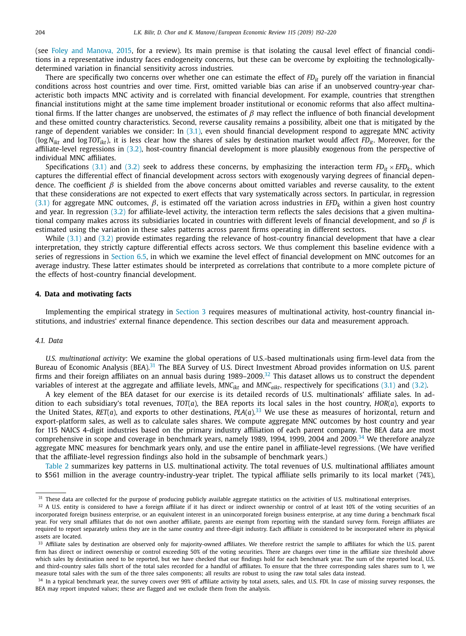<span id="page-12-0"></span>(see Foley and [Manova,](#page-28-0) 2015, for a review). Its main premise is that isolating the causal level effect of financial conditions in a representative industry faces endogeneity concerns, but these can be overcome by exploiting the technologicallydetermined variation in financial sensitivity across industries.

There are specifically two concerns over whether one can estimate the effect of *FD<sub>it</sub>* purely off the variation in financial conditions across host countries and over time. First, omitted variable bias can arise if an unobserved country-year characteristic both impacts MNC activity and is correlated with financial development. For example, countries that strengthen financial institutions might at the same time implement broader institutional or economic reforms that also affect multinational firms. If the latter changes are unobserved, the estimates of  $\beta$  may reflect the influence of both financial development and these omitted country characteristics. Second, reverse causality remains a possibility, albeit one that is mitigated by the range of dependent variables we consider: In [\(3.1\),](#page-10-0) even should financial development respond to aggregate MNC activity (log *Nikt* and log *TOTikt*), it is less clear how the shares of sales by destination market would affect *FDit*. Moreover, for the affiliate-level regressions in [\(3.2\),](#page-11-0) host-country financial development is more plausibly exogenous from the perspective of individual MNC affiliates.

Specifications [\(3.1\)](#page-10-0) and [\(3.2\)](#page-11-0) seek to address these concerns, by emphasizing the interaction term  $FD_{it} \times EFD_{k}$ , which captures the differential effect of financial development across sectors with exogenously varying degrees of financial dependence. The coefficient  $\beta$  is shielded from the above concerns about omitted variables and reverse causality, to the extent that these considerations are not expected to exert effects that vary systematically across sectors. In particular, in regression [\(3.1\)](#page-10-0) for aggregate MNC outcomes,  $\beta$ , is estimated off the variation across industries in *EFD<sub>k</sub>* within a given host country and year. In regression [\(3.2\)](#page-11-0) for affiliate-level activity, the interaction term reflects the sales decisions that a given multinational company makes across its subsidiaries located in countries with different levels of financial development, and so  $\beta$  is estimated using the variation in these sales patterns across parent firms operating in different sectors.

While  $(3.1)$  and  $(3.2)$  provide estimates regarding the relevance of host-country financial development that have a clear interpretation, they strictly capture differential effects across sectors. We thus complement this baseline evidence with a series of regressions in [Section](#page-22-0) 6.5, in which we examine the level effect of financial development on MNC outcomes for an average industry. These latter estimates should be interpreted as correlations that contribute to a more complete picture of the effects of host-country financial development.

#### **4. Data and motivating facts**

Implementing the empirical strategy in [Section](#page-10-0) 3 requires measures of multinational activity, host-country financial institutions, and industries' external finance dependence. This section describes our data and measurement approach.

#### *4.1. Data*

*U.S. multinational activity*: We examine the global operations of U.S.-based multinationals using firm-level data from the Bureau of Economic Analysis (BEA).<sup>31</sup> The BEA Survey of U.S. Direct Investment Abroad provides information on U.S. parent firms and their foreign affiliates on an annual basis during 1989–2009.<sup>32</sup> This dataset allows us to construct the dependent variables of interest at the aggregate and affiliate levels, *MNC<sub>ikt</sub>* and *MNC<sub>aikt</sub>*, respectively for specifications [\(3.1\)](#page-10-0) and [\(3.2\).](#page-11-0)

A key element of the BEA dataset for our exercise is its detailed records of U.S. multinationals' affiliate sales. In addition to each subsidiary's total revenues, *TOT*(*a*), the BEA reports its local sales in the host country, *HOR*(*a*), exports to the United States,  $RET(a)$ , and exports to other destinations,  $PLA(a).^{33}$  We use these as measures of horizontal, return and export-platform sales, as well as to calculate sales shares. We compute aggregate MNC outcomes by host country and year for 115 NAICS 4-digit industries based on the primary industry affiliation of each parent company. The BEA data are most comprehensive in scope and coverage in benchmark years, namely 1989, 1994, 1999, 2004 and 2009.<sup>34</sup> We therefore analyze aggregate MNC measures for benchmark years only, and use the entire panel in affiliate-level regressions. (We have verified that the affiliate-level regression findings also hold in the subsample of benchmark years.)

[Table](#page-13-0) 2 summarizes key patterns in U.S. multinational activity. The total revenues of U.S. multinational affiliates amount to \$561 million in the average country-industry-year triplet. The typical affiliate sells primarily to its local market (74%),

<sup>&</sup>lt;sup>31</sup> These data are collected for the purpose of producing publicly available aggregate statistics on the activities of U.S. multinational enterprises.

 $32$  A U.S. entity is considered to have a foreign affiliate if it has direct or indirect ownership or control of at least 10% of the voting securities of an incorporated foreign business enterprise, or an equivalent interest in an unincorporated foreign business enterprise, at any time during a benchmark fiscal year. For very small affiliates that do not own another affiliate, parents are exempt from reporting with the standard survey form. Foreign affiliates are required to report separately unless they are in the same country and three-digit industry. Each affiliate is considered to be incorporated where its physical assets are located.

<sup>&</sup>lt;sup>33</sup> Affiliate sales by destination are observed only for majority-owned affiliates. We therefore restrict the sample to affiliates for which the U.S. parent firm has direct or indirect ownership or control exceeding 50% of the voting securities. There are changes over time in the affiliate size threshold above which sales by destination need to be reported, but we have checked that our findings hold for each benchmark year. The sum of the reported local, U.S. and third-country sales falls short of the total sales recorded for a handful of affiliates. To ensure that the three corresponding sales shares sum to 1, we measure total sales with the sum of the three sales components; all results are robust to using the raw total sales data instead.

<sup>&</sup>lt;sup>34</sup> In a typical benchmark year, the survey covers over 99% of affiliate activity by total assets, sales, and U.S. FDI. In case of missing survey responses, the BEA may report imputed values; these are flagged and we exclude them from the analysis.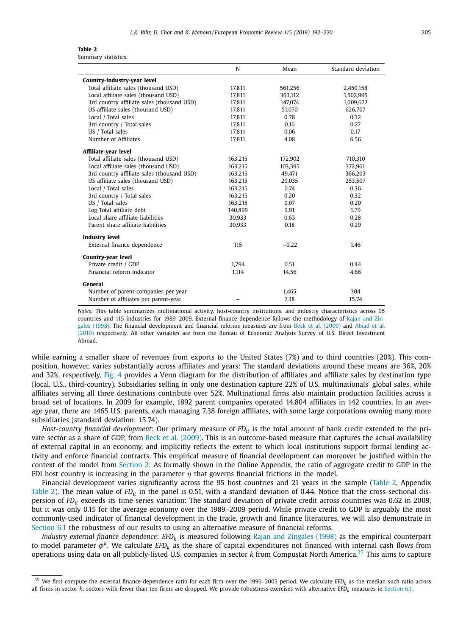<span id="page-13-0"></span>

|                                            | N       | Mean    | Standard deviation |
|--------------------------------------------|---------|---------|--------------------|
| Country-industry-year level                |         |         |                    |
| Total affiliate sales (thousand USD)       | 17,811  | 561,256 | 2,450,158          |
| Local affiliate sales (thousand USD)       | 17,811  | 363,112 | 1,502,995          |
| 3rd country affiliate sales (thousand USD) | 17,811  | 147,074 | 1,009,672          |
| US affiliate sales (thousand USD)          | 17.811  | 51.070  | 626,707            |
| Local / Total sales                        | 17,811  | 0.78    | 0.32               |
| 3rd country / Total sales                  | 17,811  | 0.16    | 0.27               |
| US / Total sales                           | 17,811  | 0.06    | 0.17               |
| Number of Affiliates                       | 17,811  | 4.08    | 6.56               |
| Affiliate-year level                       |         |         |                    |
| Total affiliate sales (thousand USD)       | 163,215 | 172,902 | 710,310            |
| Local affiliate sales (thousand USD)       | 163,215 | 103,395 | 372,961            |
| 3rd country affiliate sales (thousand USD) | 163,215 | 49,471  | 366,203            |
| US affiliate sales (thousand USD)          | 163,215 | 20,035  | 253,507            |
| Local / Total sales                        | 163,215 | 0.74    | 0.36               |
| 3rd country / Total sales                  | 163,215 | 0.20    | 0.32               |
| US / Total sales                           | 163,215 | 0.07    | 0.20               |
| Log Total affiliate debt                   | 140.899 | 9.91    | 1.79               |
| Local share affiliate liabilities          | 30,933  | 0.63    | 0.28               |
| Parent share affiliate liabilities         | 30,933  | 0.18    | 0.29               |
| <b>Industry level</b>                      |         |         |                    |
| External finance dependence                | 115     | $-0.22$ | 1.46               |
| Country-year level                         |         |         |                    |
| Private credit / GDP                       | 1,794   | 0.51    | 0.44               |
| Financial reform indicator                 | 1,114   | 14.56   | 4.66               |
| General                                    |         |         |                    |
| Number of parent companies per year        |         | 1,465   | 304                |
| Number of affiliates per parent-year       |         | 7.38    | 15.74              |

*Notes:* This table summarizes multinational activity, host-country institutions, and industry characteristics across 95 countries and 115 industries for 1989–2009. External finance dependence follows the [methodology](#page-28-0) of Rajan and Zingales (1998). The financial [development](#page-27-0) and financial reforms measures are from Beck et al. [\(2009\)](#page-27-0) and Abiad et al. (2010) respectively. All other variables are from the Bureau of Economic Analysis Survey of U.S. Direct Investment Abroad.

while earning a smaller share of revenues from exports to the United States (7%) and to third countries (20%). This composition, however, varies substantially across affiliates and years: The standard deviations around these means are 36%, 20% and 32%, respectively. [Fig.](#page-14-0) 4 provides a Venn diagram for the distribution of affiliates and affiliate sales by destination type (local, U.S., third-country). Subsidiaries selling in only one destination capture 22% of U.S. multinationals' global sales, while affiliates serving all three destinations contribute over 52%. Multinational firms also maintain production facilities across a broad set of locations. In 2009 for example, 1892 parent companies operated 14,804 affiliates in 142 countries. In an average year, there are 1465 U.S. parents, each managing 7.38 foreign affiliates, with some large corporations owning many more subsidiaries (standard deviation: 15.74).

*Host-country financial development*: Our primary measure of *FD<sub>it</sub>* is the total amount of bank credit extended to the private sector as a share of GDP, from Beck et al. [\(2009\).](#page-27-0) This is an outcome-based measure that captures the actual availability of external capital in an economy, and implicitly reflects the extent to which local institutions support formal lending activity and enforce financial contracts. This empirical measure of financial development can moreover be justified within the context of the model from [Section](#page-4-0) 2: As formally shown in the Online Appendix, the ratio of aggregate credit to GDP in the FDI host country is increasing in the parameter  $\eta$  that governs financial frictions in the model.

Financial development varies significantly across the 95 host countries and 21 years in the sample (Table 2, Appendix Table 2). The mean value of *FD<sub>it</sub>* in the panel is 0.51, with a standard deviation of 0.44. Notice that the cross-sectional dispersion of *FDit* exceeds its time-series variation: The standard deviation of private credit across countries was 0.62 in 2009, but it was only 0.15 for the average economy over the 1989–2009 period. While private credit to GDP is arguably the most commonly-used indicator of financial development in the trade, growth and finance literatures, we will also demonstrate in [Section](#page-18-0) 6.1 the robustness of our results to using an alternative measure of financial reforms.

*Industry external finance dependence*: *EFDk* is measured following Rajan and [Zingales](#page-28-0) (1998) as the empirical counterpart to model parameter  $\phi^k$ . We calculate *EFD<sub>k</sub>* as the share of capital expenditures not financed with internal cash flows from operations using data on all publicly-listed U.S. companies in sector *k* from Compustat North America.<sup>35</sup> This aims to capture

<sup>&</sup>lt;sup>35</sup> We first compute the external finance dependence ratio for each firm over the 1996–2005 period. We calculate *EFD<sub>k</sub>* as the median such ratio across all firms in sector *k*; sectors with fewer than ten firms are dropped. We provide robustness exercises with alternative *EFD<sub>k</sub>* measures in [Section](#page-18-0) 6.1.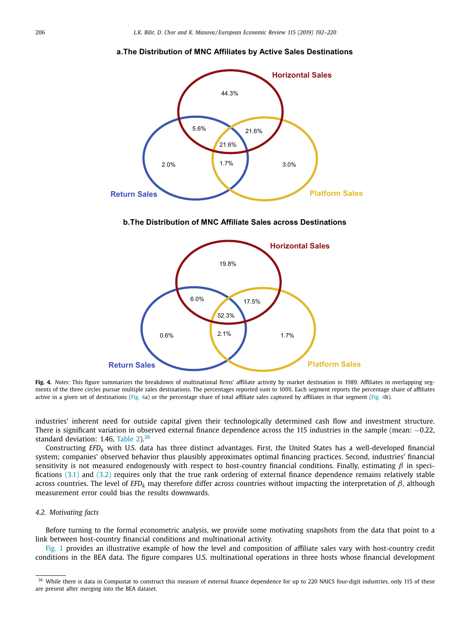#### **a.The Distribution of MNC Affiliates by Active Sales Destinations**

<span id="page-14-0"></span>

**b.The Distribution of MNC Affiliate Sales across Destinations**



**Fig. 4.** *Notes:* This figure summarizes the breakdown of multinational firms' affiliate activity by market destination in 1989. Affiliates in overlapping segments of the three circles pursue multiple sales destinations. The percentages reported sum to 100%. Each segment reports the percentage share of affiliates active in a given set of destinations (Fig. 4a) or the percentage share of total affiliate sales captured by affiliates in that segment (Fig. 4b).

industries' inherent need for outside capital given their technologically determined cash flow and investment structure. There is significant variation in observed external finance dependence across the 115 industries in the sample (mean: −0.22, standard deviation:  $1.46$ , [Table](#page-13-0)  $2$ ).<sup>36</sup>

Constructing *EFDk* with U.S. data has three distinct advantages. First, the United States has a well-developed financial system; companies' observed behavior thus plausibly approximates optimal financing practices. Second, industries' financial sensitivity is not measured endogenously with respect to host-country financial conditions. Finally, estimating  $\beta$  in specifications [\(3.1\)](#page-10-0) and [\(3.2\)](#page-11-0) requires only that the true rank ordering of external finance dependence remains relatively stable across countries. The level of *EFDk* may therefore differ across countries without impacting the interpretation of β, although measurement error could bias the results downwards.

#### *4.2. Motivating facts*

Before turning to the formal econometric analysis, we provide some motivating snapshots from the data that point to a link between host-country financial conditions and multinational activity.

[Fig.](#page-1-0) 1 provides an illustrative example of how the level and composition of affiliate sales vary with host-country credit conditions in the BEA data. The figure compares U.S. multinational operations in three hosts whose financial development

<sup>&</sup>lt;sup>36</sup> While there is data in Compustat to construct this measure of external finance dependence for up to 220 NAICS four-digit industries, only 115 of these are present after merging into the BEA dataset.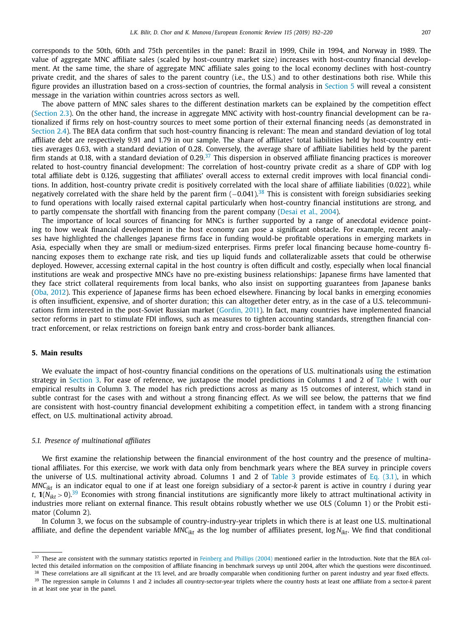<span id="page-15-0"></span>corresponds to the 50th, 60th and 75th percentiles in the panel: Brazil in 1999, Chile in 1994, and Norway in 1989. The value of aggregate MNC affiliate sales (scaled by host-country market size) increases with host-country financial development. At the same time, the share of aggregate MNC affiliate sales going to the local economy declines with host-country private credit, and the shares of sales to the parent country (i.e., the U.S.) and to other destinations both rise. While this figure provides an illustration based on a cross-section of countries, the formal analysis in Section 5 will reveal a consistent message in the variation within countries across sectors as well.

The above pattern of MNC sales shares to the different destination markets can be explained by the competition effect [\(Section](#page-7-0) 2.3). On the other hand, the increase in aggregate MNC activity with host-country financial development can be rationalized if firms rely on host-country sources to meet some portion of their external financing needs (as demonstrated in [Section](#page-9-0) 2.4). The BEA data confirm that such host-country financing is relevant: The mean and standard deviation of log total affiliate debt are respectively 9.91 and 1.79 in our sample. The share of affiliates' total liabilities held by host-country entities averages 0.63, with a standard deviation of 0.28. Conversely, the average share of affiliate liabilities held by the parent firm stands at 0.18, with a standard deviation of 0.29.<sup>37</sup> This dispersion in observed affiliate financing practices is moreover related to host-country financial development: The correlation of host-country private credit as a share of GDP with log total affiliate debt is 0.126, suggesting that affiliates' overall access to external credit improves with local financial conditions. In addition, host-country private credit is positively correlated with the local share of affiliate liabilities (0.022), while negatively correlated with the share held by the parent firm (−0.041).<sup>38</sup> This is consistent with foreign subsidiaries seeking to fund operations with locally raised external capital particularly when host-country financial institutions are strong, and to partly compensate the shortfall with financing from the parent company [\(Desai](#page-28-0) et al., 2004).

The importance of local sources of financing for MNCs is further supported by a range of anecdotal evidence pointing to how weak financial development in the host economy can pose a significant obstacle. For example, recent analyses have highlighted the challenges Japanese firms face in funding would-be profitable operations in emerging markets in Asia, especially when they are small or medium-sized enterprises. Firms prefer local financing because home-country financing exposes them to exchange rate risk, and ties up liquid funds and collateralizable assets that could be otherwise deployed. However, accessing external capital in the host country is often difficult and costly, especially when local financial institutions are weak and prospective MNCs have no pre-existing business relationships: Japanese firms have lamented that they face strict collateral requirements from local banks, who also insist on supporting guarantees from Japanese banks (Oba, [2012\)](#page-28-0). This experience of Japanese firms has been echoed elsewhere. Financing by local banks in emerging economies is often insufficient, expensive, and of shorter duration; this can altogether deter entry, as in the case of a U.S. telecommunications firm interested in the post-Soviet Russian market [\(Gordin,](#page-28-0) 2011). In fact, many countries have implemented financial sector reforms in part to stimulate FDI inflows, such as measures to tighten accounting standards, strengthen financial contract enforcement, or relax restrictions on foreign bank entry and cross-border bank alliances.

#### **5. Main results**

We evaluate the impact of host-country financial conditions on the operations of U.S. multinationals using the estimation strategy in [Section](#page-10-0) 3. For ease of reference, we juxtapose the model predictions in Columns 1 and 2 of [Table](#page-8-0) 1 with our empirical results in Column 3. The model has rich predictions across as many as 15 outcomes of interest, which stand in subtle contrast for the cases with and without a strong financing effect. As we will see below, the patterns that we find are consistent with host-country financial development exhibiting a competition effect, in tandem with a strong financing effect, on U.S. multinational activity abroad.

#### *5.1. Presence of multinational affiliates*

We first examine the relationship between the financial environment of the host country and the presence of multinational affiliates. For this exercise, we work with data only from benchmark years where the BEA survey in principle covers the universe of U.S. multinational activity abroad. Columns 1 and 2 of [Table](#page-16-0) 3 provide estimates of Eq. [\(3.1\),](#page-10-0) in which *MNCikt* is an indicator equal to one if at least one foreign subsidiary of a sector-*k* parent is active in country *i* during year *t*,  $\mathbf{1}(N_{ikt} > 0)^{39}$  Economies with strong financial institutions are significantly more likely to attract multinational activity in industries more reliant on external finance. This result obtains robustly whether we use OLS (Column 1) or the Probit estimator (Column 2).

In Column 3, we focus on the subsample of country-industry-year triplets in which there is at least one U.S. multinational affiliate, and define the dependent variable *MNCikt* as the log number of affiliates present, log *Nikt*. We find that conditional

<sup>&</sup>lt;sup>37</sup> These are consistent with the summary statistics reported in [Feinberg](#page-28-0) and Phillips (2004) mentioned earlier in the Introduction. Note that the BEA collected this detailed information on the composition of affiliate financing in benchmark surveys up until 2004, after which the questions were discontinued.

<sup>&</sup>lt;sup>38</sup> These correlations are all significant at the 1% level, and are broadly comparable when conditioning further on parent industry and year fixed effects.

<sup>39</sup> The regression sample in Columns 1 and 2 includes all country-sector-year triplets where the country hosts at least one affiliate from a sector-*k* parent in at least one year in the panel.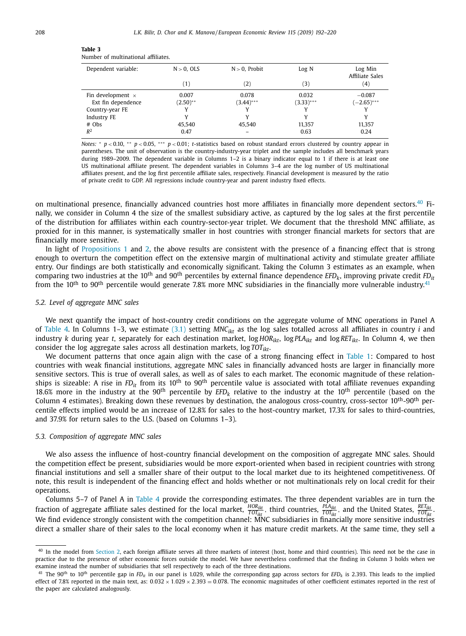| Dependent variable:      | $N > 0$ , OLS    | $N > 0$ , Probit  | Log N       | Log Min<br><b>Affiliate Sales</b> |
|--------------------------|------------------|-------------------|-------------|-----------------------------------|
|                          | $\left(1\right)$ | $\left( 2\right)$ | (3)         | (4)                               |
| Fin development $\times$ | 0.007            | 0.078             | 0.032       | $-0.087$                          |
| Ext fin dependence       | $(2.50)$ **      | $(3.44)***$       | $(3.33)***$ | $(-2.65)$ ***                     |
| Country-year FE          |                  | v                 |             |                                   |
| Industry FE              | v                | v                 |             | v                                 |
| $#$ Obs                  | 45.540           | 45,540            | 11.357      | 11,357                            |
| $R^2$                    | 0.47             |                   | 0.63        | 0.24                              |

<span id="page-16-0"></span>

| Table 3 |                                     |  |
|---------|-------------------------------------|--|
|         | Number of multinational affiliates. |  |

*Notes:* \* *p* < 0.10, \*\* *p* < 0.05, \*\*\* *p* < 0.01; *t*-statistics based on robust standard errors clustered by country appear in parentheses. The unit of observation is the country-industry-year triplet and the sample includes all benchmark years during 1989–2009. The dependent variable in Columns 1–2 is a binary indicator equal to 1 if there is at least one US multinational affiliate present. The dependent variables in Columns 3–4 are the log number of US multinational affiliates present, and the log first percentile affiliate sales, respectively. Financial development is measured by the ratio of private credit to GDP. All regressions include country-year and parent industry fixed effects.

on multinational presence, financially advanced countries host more affiliates in financially more dependent sectors.<sup>40</sup> Finally, we consider in Column 4 the size of the smallest subsidiary active, as captured by the log sales at the first percentile of the distribution for affiliates within each country-sector-year triplet. We document that the threshold MNC affiliate, as proxied for in this manner, is systematically smaller in host countries with stronger financial markets for sectors that are financially more sensitive.

In light of [Propositions](#page-8-0) 1 and [2,](#page-9-0) the above results are consistent with the presence of a financing effect that is strong enough to overturn the competition effect on the extensive margin of multinational activity and stimulate greater affiliate entry. Our findings are both statistically and economically significant. Taking the Column 3 estimates as an example, when comparing two industries at the 10<sup>th</sup> and 90<sup>th</sup> percentiles by external finance dependence *EFD<sub>k</sub>*, improving private credit *FD<sub>it</sub>* from the  $10^{th}$  to  $90^{th}$  percentile would generate 7.8% more MNC subsidiaries in the financially more vulnerable industry.<sup>41</sup>

#### *5.2. Level of aggregate MNC sales*

We next quantify the impact of host-country credit conditions on the aggregate volume of MNC operations in Panel A of [Table](#page-17-0) 4. In Columns 1–3, we estimate [\(3.1\)](#page-10-0) setting *MNCikt* as the log sales totalled across all affiliates in country *i* and industry *k* during year *t*, separately for each destination market, log *HORikt*, log *PLAikt* and log *RETikt*. In Column 4, we then consider the log aggregate sales across all destination markets, log  $TOT<sub>ikt</sub>$ .

We document patterns that once again align with the case of a strong financing effect in [Table](#page-8-0) 1: Compared to host countries with weak financial institutions, aggregate MNC sales in financially advanced hosts are larger in financially more sensitive sectors. This is true of overall sales, as well as of sales to each market. The economic magnitude of these relationships is sizeable: A rise in *FD<sub>it</sub>* from its 10<sup>th</sup> to 90<sup>th</sup> percentile value is associated with total affiliate revenues expanding 18.6% more in the industry at the 90<sup>th</sup> percentile by  $EFD_k$  relative to the industry at the 10<sup>th</sup> percentile (based on the Column 4 estimates). Breaking down these revenues by destination, the analogous cross-country, cross-sector  $10^{th}$ -90<sup>th</sup> percentile effects implied would be an increase of 12.8% for sales to the host-country market, 17.3% for sales to third-countries, and 37.9% for return sales to the U.S. (based on Columns 1–3).

#### *5.3. Composition of aggregate MNC sales*

We also assess the influence of host-country financial development on the composition of aggregate MNC sales. Should the competition effect be present, subsidiaries would be more export-oriented when based in recipient countries with strong financial institutions and sell a smaller share of their output to the local market due to its heightened competitiveness. Of note, this result is independent of the financing effect and holds whether or not multinationals rely on local credit for their operations.

Columns 5–7 of Panel A in [Table](#page-17-0) 4 provide the corresponding estimates. The three dependent variables are in turn the fraction of aggregate affiliate sales destined for the local market,  $\frac{HOR_{ikt}}{TOT_{ikt}}$ , third countries,  $\frac{PLA_{ikt}}{TOT_{ikt}}$ , and the United States,  $\frac{RET_{ikt}}{TOT_{ikt}}$ .<br>We find evidence strongly consistent with the competition chan direct a smaller share of their sales to the local economy when it has mature credit markets. At the same time, they sell a

<sup>&</sup>lt;sup>40</sup> In the model from [Section](#page-4-0) 2, each foreign affiliate serves all three markets of interest (host, home and third countries). This need not be the case in practice due to the presence of other economic forces outside the model. We have nevertheless confirmed that the finding in Column 3 holds when we examine instead the number of subsidiaries that sell respectively to each of the three destinations.

<sup>&</sup>lt;sup>41</sup> The 90<sup>th</sup> to 10<sup>th</sup> percentile gap in *FD<sub>it</sub>* in our panel is 1.029, while the corresponding gap across sectors for *EFD<sub>k</sub>* is 2.393. This leads to the implied effect of 7.8% reported in the main text, as:  $0.032 \times 1.029 \times 2.393 = 0.078$ . The economic magnitudes of other coefficient estimates reported in the rest of the paper are calculated analogously.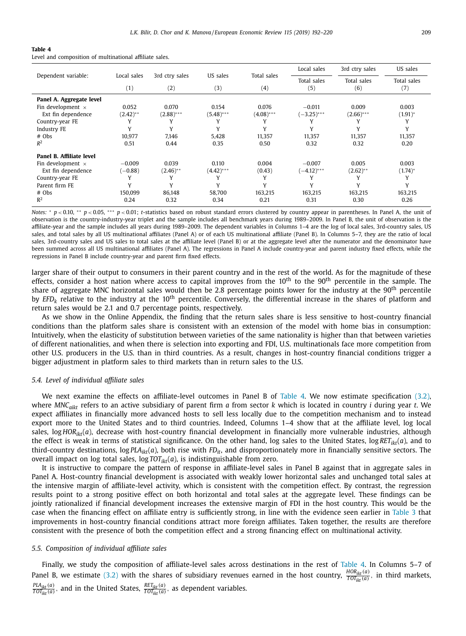<span id="page-17-0"></span>

| Table 4 |                                                         |  |
|---------|---------------------------------------------------------|--|
|         | Level and composition of multinational affiliate sales. |  |

|                          |             |                |              |              | Local sales   | 3rd ctry sales | US sales     |
|--------------------------|-------------|----------------|--------------|--------------|---------------|----------------|--------------|
| Dependent variable:      | Local sales | 3rd ctry sales | US sales     | Total sales  | Total sales   | Total sales    | Total sales  |
|                          | (1)         | (2)            | (3)          | (4)          | (5)           | (6)            | (7)          |
| Panel A. Aggregate level |             |                |              |              |               |                |              |
| Fin development $\times$ | 0.052       | 0.070          | 0.154        | 0.076        | $-0.011$      | 0.009          | 0.003        |
| Ext fin dependence       | $(2.42)$ ** | $(2.88)$ ***   | $(5.48)$ *** | $(4.08)$ *** | $(-3.25)$ *** | $(2.66)$ ***   | $(1.91)^*$   |
| Country-year FE          |             |                |              | ν            |               |                | Y            |
| Industry FE              | Υ           | Y              | Y            | Υ            | Y             | γ              | Y            |
| $#$ Obs                  | 10.977      | 7.146          | 5.428        | 11.357       | 11.357        | 11.357         | 11,357       |
| $R^2$                    | 0.51        | 0.44           | 0.35         | 0.50         | 0.32          | 0.32           | 0.20         |
| Panel B. Affiliate level |             |                |              |              |               |                |              |
| Fin development $\times$ | $-0.009$    | 0.039          | 0.110        | 0.004        | $-0.007$      | 0.005          | 0.003        |
| Ext fin dependence       | $(-0.88)$   | $(2.46)$ **    | $(4.42)$ *** | (0.43)       | $(-4.12)$ *** | $(2.62)$ **    | $(1.74)^{*}$ |
| Country-year FE          | Υ           |                |              | Υ            | Υ             |                | Y            |
| Parent firm FE           |             | $\mathbf{v}$   | $\mathbf{v}$ | $\mathbf v$  | Y             | v              | Y            |
| $#$ Obs                  | 150,099     | 86,148         | 58,700       | 163,215      | 163,215       | 163,215        | 163,215      |
| $R^2$                    | 0.24        | 0.32           | 0.34         | 0.21         | 0.31          | 0.30           | 0.26         |

*Notes:* \* *p* < 0.10, \*\* *p* < 0.05, \*\*\* *p* < 0.01; *t*-statistics based on robust standard errors clustered by country appear in parentheses. In Panel A, the unit of observation is the country-industry-year triplet and the sample includes all benchmark years during 1989–2009. In Panel B, the unit of observation is the affiliate-year and the sample includes all years during 1989–2009. The dependent variables in Columns 1–4 are the log of local sales, 3rd-country sales, US sales, and total sales by all US multinational affiliates (Panel A) or of each US multinational affiliate (Panel B). In Columns 5-7, they are the ratio of local sales, 3rd-country sales and US sales to total sales at the affiliate level (Panel B) or at the aggregate level after the numerator and the denominator have been summed across all US multinational affiliates (Panel A). The regressions in Panel A include country-year and parent industry fixed effects, while the regressions in Panel B include country-year and parent firm fixed effects.

larger share of their output to consumers in their parent country and in the rest of the world. As for the magnitude of these effects, consider a host nation where access to capital improves from the  $10<sup>th</sup>$  to the 90<sup>th</sup> percentile in the sample. The share of aggregate MNC horizontal sales would then be 2.8 percentage points lower for the industry at the  $90^{th}$  percentile by *EFDk* relative to the industry at the 10th percentile. Conversely, the differential increase in the shares of platform and return sales would be 2.1 and 0.7 percentage points, respectively.

As we show in the Online Appendix, the finding that the return sales share is less sensitive to host-country financial conditions than the platform sales share is consistent with an extension of the model with home bias in consumption: Intuitively, when the elasticity of substitution between varieties of the same nationality is higher than that between varieties of different nationalities, and when there is selection into exporting and FDI, U.S. multinationals face more competition from other U.S. producers in the U.S. than in third countries. As a result, changes in host-country financial conditions trigger a bigger adjustment in platform sales to third markets than in return sales to the U.S.

#### *5.4. Level of individual affiliate sales*

We next examine the effects on affiliate-level outcomes in Panel B of Table 4. We now estimate specification [\(3.2\),](#page-11-0) where *MNCaikt* refers to an active subsidiary of parent firm *a* from sector *k* which is located in country *i* during year *t*. We expect affiliates in financially more advanced hosts to sell less locally due to the competition mechanism and to instead export more to the United States and to third countries. Indeed, Columns 1–4 show that at the affiliate level, log local sales,  $log HOR<sub>itr</sub>(a)$ , decrease with host-country financial development in financially more vulnerable industries, although the effect is weak in terms of statistical significance. On the other hand, log sales to the United States, log  $RET_{ikt}(a)$ , and to third-country destinations, log *PLAikt*(*a*), both rise with *FDit*, and disproportionately more in financially sensitive sectors. The overall impact on log total sales,  $log TOT<sub>ikt</sub>(a)$ , is indistinguishable from zero.

It is instructive to compare the pattern of response in affiliate-level sales in Panel B against that in aggregate sales in Panel A. Host-country financial development is associated with weakly lower horizontal sales and unchanged total sales at the intensive margin of affiliate-level activity, which is consistent with the competition effect. By contrast, the regression results point to a strong positive effect on both horizontal and total sales at the aggregate level. These findings can be jointly rationalized if financial development increases the extensive margin of FDI in the host country. This would be the case when the financing effect on affiliate entry is sufficiently strong, in line with the evidence seen earlier in [Table](#page-16-0) 3 that improvements in host-country financial conditions attract more foreign affiliates. Taken together, the results are therefore consistent with the presence of both the competition effect and a strong financing effect on multinational activity.

#### *5.5. Composition of individual affiliate sales*

Finally, we study the composition of affiliate-level sales across destinations in the rest of Table 4. In Columns 5–7 of Panel B, we estimate [\(3.2\)](#page-11-0) with the shares of subsidiary revenues earned in the host country,  $\frac{HOR_{ikt}(a)}{TOT_{ikt}(a)}$ , in third markets,  $\frac{PLA_{ikt}(a)}{TOT_{ikt}(a)}$ , and in the United States,  $\frac{RET_{ikt}(a)}{TOT_{ikt}(a)}$ , as dependent variables.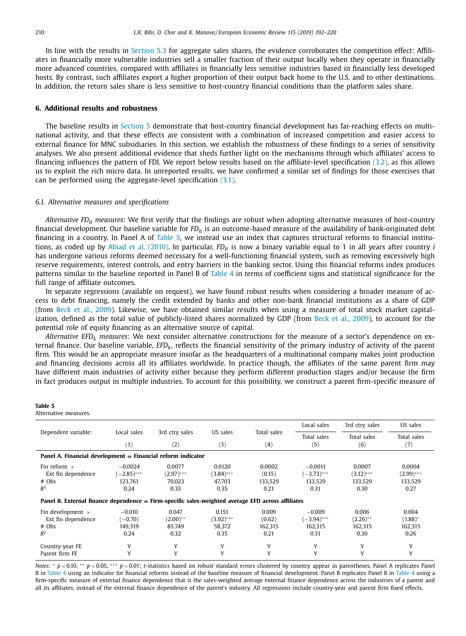<span id="page-18-0"></span>In line with the results in [Section](#page-16-0) 5.3 for aggregate sales shares, the evidence corroborates the competition effect: Affiliates in financially more vulnerable industries sell a smaller fraction of their output locally when they operate in financially more advanced countries, compared with affiliates in financially less sensitive industries based in financially less developed hosts. By contrast, such affiliates export a higher proportion of their output back home to the U.S. and to other destinations. In addition, the return sales share is less sensitive to host-country financial conditions than the platform sales share.

#### **6. Additional results and robustness**

The baseline results in [Section](#page-15-0) 5 demonstrate that host-country financial development has far-reaching effects on multinational activity, and that these effects are consistent with a combination of increased competition and easier access to external finance for MNC subsidiaries. In this section, we establish the robustness of these findings to a series of sensitivity analyses. We also present additional evidence that sheds further light on the mechanisms through which affiliates' access to financing influences the pattern of FDI. We report below results based on the affiliate-level specification [\(3.2\),](#page-11-0) as this allows us to exploit the rich micro data. In unreported results, we have confirmed a similar set of findings for those exercises that can be performed using the aggregate-level specification [\(3.1\).](#page-10-0)

#### *6.1. Alternative measures and specifications*

*Alternative FDit measures*: We first verify that the findings are robust when adopting alternative measures of host-country financial development. Our baseline variable for *FDit* is an outcome-based measure of the availability of bank-originated debt financing in a country. In Panel A of Table 5, we instead use an index that captures structural reforms to financial institutions, as coded up by Abiad et al. [\(2010\).](#page-27-0) In particular, *FDit* is now a binary variable equal to 1 in all years after country *i* has undergone various reforms deemed necessary for a well-functioning financial system, such as removing excessively high reserve requirements, interest controls, and entry barriers in the banking sector. Using this financial reforms index produces patterns similar to the baseline reported in Panel B of [Table](#page-17-0) 4 in terms of coefficient signs and statistical significance for the full range of affiliate outcomes.

In separate regressions (available on request), we have found robust results when considering a broader measure of access to debt financing, namely the credit extended by banks and other non-bank financial institutions as a share of GDP (from Beck et al., [2009\)](#page-27-0). Likewise, we have obtained similar results when using a measure of total stock market capitalization, defined as the total value of publicly-listed shares normalized by GDP (from Beck et al., [2009\)](#page-27-0), to account for the potential role of equity financing as an alternative source of capital.

*Alternative EFDk measures*: We next consider alternative constructions for the measure of a sector's dependence on external finance. Our baseline variable, *EFDk*, reflects the financial sensitivity of the primary industry of activity of the parent firm. This would be an appropriate measure insofar as the headquarters of a multinational company makes joint production and financing decisions across all its affiliates worldwide. In practice though, the affiliates of the same parent firm may have different main industries of activity either because they perform different production stages and/or because the firm in fact produces output in multiple industries. To account for this possibility, we construct a parent firm-specific measure of

| Alternative measures.                                                                             |               |                |              |             |               |                |              |
|---------------------------------------------------------------------------------------------------|---------------|----------------|--------------|-------------|---------------|----------------|--------------|
|                                                                                                   |               |                |              |             | Local sales   | 3rd ctry sales | US sales     |
| Dependent variable:                                                                               | Local sales   | 3rd ctry sales | US sales     | Total sales | Total sales   | Total sales    | Total sales  |
|                                                                                                   | (1)           | (2)            | (3)          | (4)         | (5)           | (6)            | (7)          |
| Panel A. Financial development = Financial reform indicator                                       |               |                |              |             |               |                |              |
| Fin reform $\times$                                                                               | $-0.0024$     | 0.0077         | 0.0120       | 0.0002      | $-0.0011$     | 0.0007         | 0.0004       |
| Ext fin dependence                                                                                | $(-2.85)$ *** | $(2.97)$ ***   | $(3.84)$ *** | (0.15)      | $(-3.73)$ *** | $(3.12)$ ***   | $(2.99)$ *** |
| $#$ Obs                                                                                           | 123.761       | 70.023         | 47.703       | 133.529     | 133.529       | 133.529        | 133.529      |
| $R^2$                                                                                             | 0.24          | 0.33           | 0.35         | 0.21        | 0.31          | 0.30           | 0.27         |
| Panel B. External finance dependence = Firm-specific sales-weighted average EFD across affiliates |               |                |              |             |               |                |              |
| Fin development $\times$                                                                          | $-0.010$      | 0.047          | 0.151        | 0.009       | $-0.009$      | 0.006          | 0.004        |
| Ext fin dependence                                                                                | $(-0.70)$     | $(2.00)$ **    | $(3.92)$ *** | (0.62)      | $(-3.94)$ *** | $(2.26)$ **    | $(1.88)^*$   |
| $#$ Obs                                                                                           | 149,319       | 85.749         | 58,372       | 162,315     | 162,315       | 162,315        | 162,315      |
| $R^2$                                                                                             | 0.24          | 0.32           | 0.35         | 0.21        | 0.31          | 0.30           | 0.26         |
| Country-year FE                                                                                   |               | Y              | Y            | Y           | Y             | Y              | Y            |
| Parent firm FE                                                                                    | v             | Y              | Y            | Y           | Y             | Y              | Y            |

*Notes:* \* *p* < 0.10, \*\* *p* < 0.05, \*\*\* *p* < 0.01; *t*-statistics based on robust standard errors clustered by country appear in parentheses. Panel A replicates Panel B in [Table](#page-17-0) 4 using an indicator for financial reforms instead of the baseline measure of financial development. Panel B replicates Panel B in [Table](#page-17-0) 4 using a firm-specific measure of external finance dependence that is the sales-weighted average external finance dependence across the industries of a parent and all its affiliates, instead of the external finance dependence of the parent's industry. All regressions include country-year and parent firm fixed effects.

**Table 5**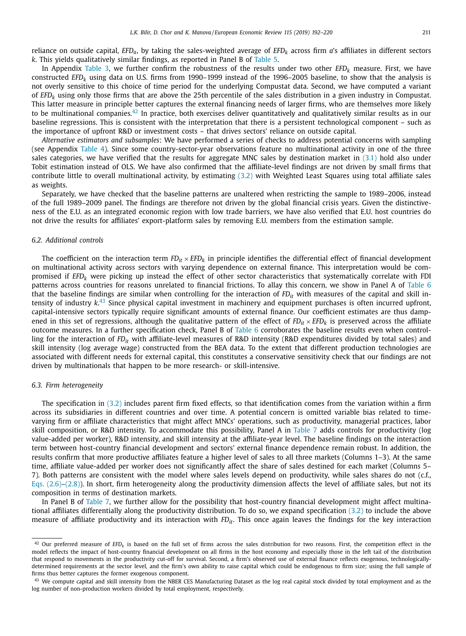reliance on outside capital, *EFD<sub>a</sub>*, by taking the sales-weighted average of *EFD<sub>k</sub>* across firm *a*'s affiliates in different sectors *k*. This yields qualitatively similar findings, as reported in Panel B of [Table](#page-18-0) 5.

In Appendix [Table](#page-16-0) 3, we further confirm the robustness of the results under two other *EFD<sub>k</sub>* measure. First, we have constructed *EFDk* using data on U.S. firms from 1990–1999 instead of the 1996–2005 baseline, to show that the analysis is not overly sensitive to this choice of time period for the underlying Compustat data. Second, we have computed a variant of *EFDk* using only those firms that are above the 25th percentile of the sales distribution in a given industry in Compustat. This latter measure in principle better captures the external financing needs of larger firms, who are themselves more likely to be multinational companies.<sup>42</sup> In practice, both exercises deliver quantitatively and qualitatively similar results as in our baseline regressions. This is consistent with the interpretation that there is a persistent technological component – such as the importance of upfront R&D or investment costs – that drives sectors' reliance on outside capital.

*Alternative estimators and subsamples*: We have performed a series of checks to address potential concerns with sampling (see Appendix [Table](#page-17-0) 4). Since some country-sector-year observations feature no multinational activity in one of the three sales categories, we have verified that the results for aggregate MNC sales by destination market in [\(3.1\)](#page-10-0) hold also under Tobit estimation instead of OLS. We have also confirmed that the affiliate-level findings are not driven by small firms that contribute little to overall multinational activity, by estimating [\(3.2\)](#page-11-0) with Weighted Least Squares using total affiliate sales as weights.

Separately, we have checked that the baseline patterns are unaltered when restricting the sample to 1989–2006, instead of the full 1989–2009 panel. The findings are therefore not driven by the global financial crisis years. Given the distinctiveness of the E.U. as an integrated economic region with low trade barriers, we have also verified that E.U. host countries do not drive the results for affiliates' export-platform sales by removing E.U. members from the estimation sample.

#### *6.2. Additional controls*

The coefficient on the interaction term  $FD_{it} \times EFD_k$  in principle identifies the differential effect of financial development on multinational activity across sectors with varying dependence on external finance. This interpretation would be compromised if *EFD<sub>k</sub>* were picking up instead the effect of other sector characteristics that systematically correlate with FDI patterns across countries for reasons unrelated to financial frictions. To allay this concern, we show in Panel A of [Table](#page-20-0) 6 that the baseline findings are similar when controlling for the interaction of  $FD_{it}$  with measures of the capital and skill intensity of industry *k*. <sup>43</sup> Since physical capital investment in machinery and equipment purchases is often incurred upfront, capital-intensive sectors typically require significant amounts of external finance. Our coefficient estimates are thus dampened in this set of regressions, although the qualitative pattern of the effect of  $FD_{it} \times EFD_k$  is preserved across the affiliate outcome measures. In a further specification check, Panel B of [Table](#page-20-0) 6 corroborates the baseline results even when controlling for the interaction of *FDit* with affiliate-level measures of R&D intensity (R&D expenditures divided by total sales) and skill intensity (log average wage) constructed from the BEA data. To the extent that different production technologies are associated with different needs for external capital, this constitutes a conservative sensitivity check that our findings are not driven by multinationals that happen to be more research- or skill-intensive.

#### *6.3. Firm heterogeneity*

The specification in [\(3.2\)](#page-11-0) includes parent firm fixed effects, so that identification comes from the variation within a firm across its subsidiaries in different countries and over time. A potential concern is omitted variable bias related to timevarying firm or affiliate characteristics that might affect MNCs' operations, such as productivity, managerial practices, labor skill composition, or R&D intensity. To accommodate this possibility, Panel A in [Table](#page-20-0) 7 adds controls for productivity (log value-added per worker), R&D intensity, and skill intensity at the affiliate-year level. The baseline findings on the interaction term between host-country financial development and sectors' external finance dependence remain robust. In addition, the results confirm that more productive affiliates feature a higher level of sales to all three markets (Columns 1–3). At the same time, affiliate value-added per worker does not significantly affect the share of sales destined for each market (Columns 5– 7). Both patterns are consistent with the model where sales levels depend on productivity, while sales shares do not (c.f., Eqs.  $(2.6)$ – $(2.8)$ ). In short, firm heterogeneity along the productivity dimension affects the level of affiliate sales, but not its composition in terms of destination markets.

In Panel B of [Table](#page-20-0) 7, we further allow for the possibility that host-country financial development might affect multinational affiliates differentially along the productivity distribution. To do so, we expand specification [\(3.2\)](#page-11-0) to include the above measure of affiliate productivity and its interaction with *FDit*. This once again leaves the findings for the key interaction

 $42$  Our preferred measure of *EFD<sub>k</sub>* is based on the full set of firms across the sales distribution for two reasons. First, the competition effect in the model reflects the impact of host-country financial development on all firms in the host economy and especially those in the left tail of the distribution that respond to movements in the productivity cut-off for survival. Second, a firm's observed use of external finance reflects exogenous, technologicallydetermined requirements at the sector level, and the firm's own ability to raise capital which could be endogenous to firm size; using the full sample of firms thus better captures the former exogenous component.

 $43$  We compute capital and skill intensity from the NBER CES Manufacturing Dataset as the log real capital stock divided by total employment and as the log number of non-production workers divided by total employment, respectively.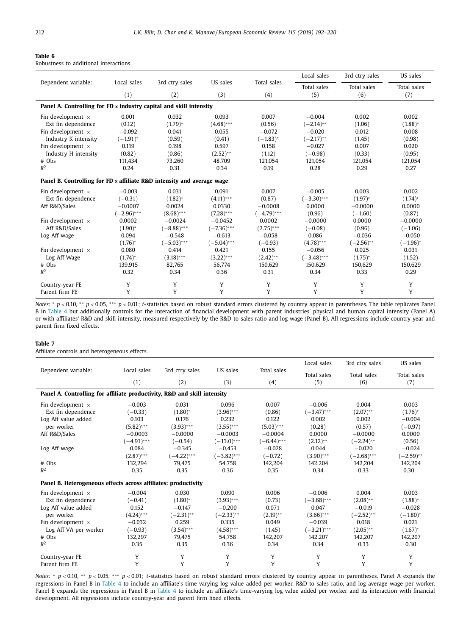<span id="page-20-0"></span>

| Table 6 |  |                                        |  |
|---------|--|----------------------------------------|--|
|         |  | Robustness to additional interactions. |  |

|                                                                               |               |                |               |               | Local sales   | 3rd ctry sales | US sales              |
|-------------------------------------------------------------------------------|---------------|----------------|---------------|---------------|---------------|----------------|-----------------------|
| Dependent variable:                                                           | Local sales   | 3rd ctry sales | US sales      | Total sales   | Total sales   | Total sales    | Total sales           |
|                                                                               | (1)           | (2)            | (3)           | (4)           | (5)           | (6)            | (7)                   |
| Panel A. Controlling for $FD \times$ industry capital and skill intensity     |               |                |               |               |               |                |                       |
| Fin development $\times$                                                      | 0.001         | 0.032          | 0.093         | 0.007         | $-0.004$      | 0.002          | 0.002                 |
| Ext fin dependence                                                            | (0.12)        | $(1.79)^{*}$   | $(4.68)$ ***  | (0.56)        | $(-2.14)$ **  | (1.06)         | $(1.88)$ <sup>*</sup> |
| Fin development $\times$                                                      | $-0.092$      | 0.041          | 0.055         | $-0.072$      | $-0.020$      | 0.012          | 0.008                 |
| Industry K intensity                                                          | $(-1.91)^*$   | (0.59)         | (0.41)        | $(-1.83)^*$   | $(-2.17)$ **  | (1.45)         | (0.98)                |
| Fin development $\times$                                                      | 0.119         | 0.198          | 0.597         | 0.158         | $-0.027$      | 0.007          | 0.020                 |
| Industry H intensity                                                          | (0.82)        | (0.86)         | $(2.52)$ **   | (1.12)        | $(-0.98)$     | (0.33)         | (0.95)                |
| $#$ Obs                                                                       | 111,434       | 73,260         | 48.709        | 121,054       | 121,054       | 121,054        | 121,054               |
| $R^2$                                                                         | 0.24          | 0.31           | 0.34          | 0.19          | 0.28          | 0.29           | 0.27                  |
| Panel B. Controlling for $FD \times$ affiliate R&D intensity and average wage |               |                |               |               |               |                |                       |
| Fin development $\times$                                                      | $-0.003$      | 0.031          | 0.091         | 0.007         | $-0.005$      | 0.003          | 0.002                 |
| Ext fin dependence                                                            | $(-0.31)$     | $(1.82)^*$     | $(4.11)$ ***  | (0.87)        | $(-3.30)$ *** | $(1.97)^{*}$   | $(1.74)^*$            |
| Aff R&D/Sales                                                                 | $-0.0007$     | 0.0024         | 0.0330        | $-0.0008$     | 0.0000        | $-0.0000$      | 0.0000                |
|                                                                               | $(-2.96)$ *** | $(8.68)***$    | $(7.28)$ ***  | $(-4.79)$ *** | (0.96)        | $(-1.60)$      | (0.87)                |
| Fin development $\times$                                                      | 0.0002        | $-0.0024$      | $-0.0452$     | 0.0002        | $-0.0000$     | 0.0000         | $-0.0000$             |
| Aff R&D/Sales                                                                 | $(1.90)^{*}$  | $(-8.88)$ ***  | $(-7.36)$ *** | $(2.75)$ ***  | $(-0.08)$     | (0.96)         | $(-1.06)$             |
| Log Aff wage                                                                  | 0.094         | $-0.548$       | $-0.613$      | $-0.058$      | 0.086         | $-0.036$       | $-0.050$              |
|                                                                               | $(1.76)^*$    | $(-5.03)$ ***  | $(-5.04)$ *** | $(-0.93)$     | $(4.78)$ ***  | $(-2.56)$ **   | $(-1.96)^{*}$         |
| Fin development $\times$                                                      | 0.080         | 0.414          | 0.421         | 0.155         | $-0.056$      | 0.025          | 0.031                 |
| Log Aff Wage                                                                  | $(1.74)^{*}$  | $(3.18)***$    | $(3.22)$ ***  | $(2.42)$ **   | $(-3.48)$ *** | $(1.75)^{*}$   | (1.52)                |
| # Obs                                                                         | 139,915       | 82,765         | 56,774        | 150,629       | 150,629       | 150,629        | 150,629               |
| $R^2$                                                                         | 0.32          | 0.34           | 0.36          | 0.31          | 0.34          | 0.33           | 0.29                  |
| Country-year FE                                                               | Y             | Y              | Y             | Y             | Y             | Y              | Y                     |
| Parent firm FE                                                                | Y             | Y              | Y             | Y             | Y             | Y              | Y                     |

*Notes:* <sup>∗</sup> *p* < 0.10, ∗∗ *p* < 0.05, ∗∗∗ *p* < 0.01; *t*-statistics based on robust standard errors clustered by country appear in parentheses. The table replicates Panel B in [Table](#page-17-0) 4 but additionally controls for the interaction of financial development with parent industries' physical and human capital intensity (Panel A) or with affiliates' R&D and skill intensity, measured respectively by the R&D-to-sales ratio and log wage (Panel B). All regressions include country-year and parent firm fixed effects.

#### **Table 7**

Affiliate controls and heterogeneous effects.

|                                                                          |               |                |               |               | Local sales   | 3rd ctry sales | US sales     |  |  |
|--------------------------------------------------------------------------|---------------|----------------|---------------|---------------|---------------|----------------|--------------|--|--|
| Dependent variable:                                                      | Local sales   | 3rd ctry sales | US sales      | Total sales   | Total sales   | Total sales    | Total sales  |  |  |
|                                                                          | (1)           | (2)            | (3)           | (4)           | (5)           | (6)            | (7)          |  |  |
| Panel A. Controlling for affiliate productivity, R&D and skill intensity |               |                |               |               |               |                |              |  |  |
| Fin development $\times$                                                 | $-0.003$      | 0.031          | 0.096         | 0.007         | $-0.006$      | 0.004          | 0.003        |  |  |
| Ext fin dependence                                                       | $(-0.33)$     | $(1.80)^{*}$   | $(3.96)$ ***  | (0.86)        | $(-3.47)$ *** | $(2.07)$ **    | $(1.76)^{*}$ |  |  |
| Log Aff value added                                                      | 0.103         | 0.176          | 0.232         | 0.122         | 0.002         | 0.002          | $-0.004$     |  |  |
| per worker                                                               | $(5.82)***$   | $(3.93)***$    | $(3.55)$ ***  | $(5.03)$ ***  | (0.28)        | (0.57)         | $(-0.97)$    |  |  |
| Aff R&D/Sales                                                            | $-0.0003$     | $-0.0000$      | $-0.0003$     | $-0.0004$     | 0.0000        | $-0.0000$      | 0.0000       |  |  |
|                                                                          | $(-4.91)$ *** | $(-0.54)$      | $(-13.0)$ *** | $(-6.44)$ *** | $(2.12)$ **   | $(-2.24)$ **   | (0.56)       |  |  |
| Log Aff wage                                                             | 0.084         | $-0.345$       | $-0.453$      | $-0.028$      | 0.044         | $-0.020$       | $-0.024$     |  |  |
|                                                                          | $(2.87)$ ***  | $(-4.22)$ ***  | $(-3.82)$ *** | $(-0.72)$     | $(3.90)$ ***  | $(-2.68)$ ***  | $(-2.59)$ ** |  |  |
| $#$ Obs                                                                  | 132.294       | 79.475         | 54.758        | 142,204       | 142.204       | 142.204        | 142,204      |  |  |
| $R^2$                                                                    | 0.35          | 0.35           | 0.36          | 0.35          | 0.34          | 0.33           | 0.30         |  |  |
| Panel B. Heterogeneous effects across affiliates: productivity           |               |                |               |               |               |                |              |  |  |
| Fin development $\times$                                                 | $-0.004$      | 0.030          | 0.090         | 0.006         | $-0.006$      | 0.004          | 0.003        |  |  |
| Ext fin dependence                                                       | $(-0.41)$     | $(1.80)^*$     | $(3.93)$ ***  | (0.73)        | $(-3.68)$ *** | $(2.08)$ **    | $(1.88)^*$   |  |  |
| Log Aff value added                                                      | 0.152         | $-0.147$       | $-0.200$      | 0.071         | 0.047         | $-0.019$       | $-0.028$     |  |  |
| per worker                                                               | $(4.24)$ ***  | $(-2.31)$ **   | $(-2.33)$ **  | $(2.19)$ **   | $(3.66)$ ***  | $(-2.52)$ **   | $(-1.80)^*$  |  |  |
| Fin development $\times$                                                 | $-0.032$      | 0.259          | 0.335         | 0.049         | $-0.039$      | 0.018          | 0.021        |  |  |
| Log Aff VA per worker                                                    | $(-0.93)$     | $(3.54)$ ***   | $(4.58)$ ***  | (1.45)        | $(-3.21)$ *** | $(2.05)$ **    | $(1.67)^{*}$ |  |  |
| $#$ Obs                                                                  | 132,297       | 79,475         | 54,758        | 142,207       | 142,207       | 142,207        | 142,207      |  |  |
| $R^2$                                                                    | 0.35          | 0.35           | 0.36          | 0.34          | 0.34          | 0.33           | 0.30         |  |  |
| Country-year FE                                                          | Y             | Y              | Y             | Y             | Y             | Y              | Y            |  |  |
| Parent firm FE                                                           | Y             | Y              | Y             | Y             | Y             | Y              | Y            |  |  |

*Notes:* \* *p* < 0.10, \*\* *p* < 0.05, \*\*\* *p* < 0.01; *t*-statistics based on robust standard errors clustered by country appear in parentheses. Panel A expands the regressions in Panel B in [Table](#page-17-0) 4 to include an affiliate's time-varying log value added per worker, R&D-to-sales ratio, and log average wage per worker. Panel B expands the regressions in Panel B in [Table](#page-17-0) 4 to include an affiliate's time-varying log value added per worker and its interaction with financial development. All regressions include country-year and parent firm fixed effects.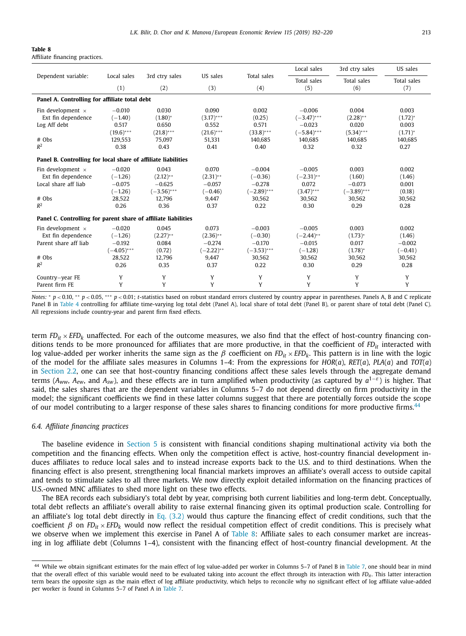<span id="page-21-0"></span>

| Table |  |
|-------|--|
|-------|--|

Affiliate financing practices.

|                                                                |               |                |              |                    | Local sales   | 3rd ctry sales | US sales    |
|----------------------------------------------------------------|---------------|----------------|--------------|--------------------|---------------|----------------|-------------|
| Dependent variable:                                            | Local sales   | 3rd ctry sales | US sales     | <b>Total sales</b> | Total sales   | Total sales    | Total sales |
|                                                                | (1)           | (2)            | (3)          | (4)                | (5)           | (6)            | (7)         |
| Panel A. Controlling for affiliate total debt                  |               |                |              |                    |               |                |             |
| Fin development $\times$                                       | $-0.010$      | 0.030          | 0.090        | 0.002              | $-0.006$      | 0.004          | 0.003       |
| Ext fin dependence                                             | $(-1.40)$     | $(1.80)^*$     | $(3.17)$ *** | (0.25)             | $(-3.47)$ *** | $(2.28)$ **    | $(1.72)^*$  |
| Log Aff debt                                                   | 0.517         | 0.650          | 0.552        | 0.571              | $-0.023$      | 0.020          | 0.003       |
|                                                                | $(19.6)***$   | $(21.8)***$    | $(21.6)***$  | $(33.8)***$        | $(-5.84)$ *** | $(5.34)***$    | $(1.71)^*$  |
| # Obs                                                          | 129.553       | 75.097         | 51.331       | 140.685            | 140.685       | 140.685        | 140.685     |
| $R^2$                                                          | 0.38          | 0.43           | 0.41         | 0.40               | 0.32          | 0.32           | 0.27        |
| Panel B. Controlling for local share of affiliate liabilities  |               |                |              |                    |               |                |             |
| Fin development $\times$                                       | $-0.020$      | 0.043          | 0.070        | $-0.004$           | $-0.005$      | 0.003          | 0.002       |
| Ext fin dependence                                             | $(-1.26)$     | $(2.12)$ **    | $(2.31)$ **  | $(-0.36)$          | $(-2.31)$ **  | (1.60)         | (1.46)      |
| Local share aff liab                                           | $-0.075$      | $-0.625$       | $-0.057$     | $-0.278$           | 0.072         | $-0.073$       | 0.001       |
|                                                                | $(-1.26)$     | $(-3.56)$ ***  | $(-0.46)$    | $(-2.89)$ ***      | $(3.47)$ ***  | $(-3.89)$ ***  | (0.18)      |
| $#$ Obs                                                        | 28,522        | 12.796         | 9.447        | 30.562             | 30.562        | 30.562         | 30.562      |
| $R^2$                                                          | 0.26          | 0.36           | 0.37         | 0.22               | 0.30          | 0.29           | 0.28        |
| Panel C. Controlling for parent share of affiliate liabilities |               |                |              |                    |               |                |             |
| Fin development $\times$                                       | $-0.020$      | 0.045          | 0.073        | $-0.003$           | $-0.005$      | 0.003          | 0.002       |
| Ext fin dependence                                             | $(-1.26)$     | $(2.27)$ **    | $(2.36)$ **  | $(-0.30)$          | $(-2.44)$ **  | $(1.73)^*$     | (1.46)      |
| Parent share aff liab                                          | $-0.192$      | 0.084          | $-0.274$     | $-0.170$           | $-0.015$      | 0.017          | $-0.002$    |
|                                                                | $(-4.05)$ *** | (0.72)         | $(-2.22)$ ** | $(-3.53)$ ***      | $(-1.28)$     | $(1.78)^{*}$   | $(-0.41)$   |
| $#$ Obs                                                        | 28,522        | 12,796         | 9,447        | 30,562             | 30,562        | 30,562         | 30,562      |
| $R^2$                                                          | 0.26          | 0.35           | 0.37         | 0.22               | 0.30          | 0.29           | 0.28        |
| Country-year FE                                                | Y             | Y              | Y            | Y                  | Y             | Y              | Y           |
| Parent firm FE                                                 | Y             | Y              | Y            | Y                  | Y             | Y              | Y           |

*Notes:* \* *p* < 0.10, \*\* *p* < 0.05, \*\*\* *p* < 0.01; *t*-statistics based on robust standard errors clustered by country appear in parentheses. Panels A, B and C replicate Panel B in [Table](#page-17-0) 4 controlling for affiliate time-varying log total debt (Panel A), local share of total debt (Panel B), or parent share of total debt (Panel C). All regressions include country-year and parent firm fixed effects.

term  $FD_{it} \times EFD_k$  unaffected. For each of the outcome measures, we also find that the effect of host-country financing conditions tends to be more pronounced for affiliates that are more productive, in that the coefficient of *FDit* interacted with log value-added per worker inherits the same sign as the β coefficient on *FD<sub>it</sub>* × *EFD<sub>k</sub>*. This pattern is in line with the logic of the model for the affiliate sales measures in Columns 1–4: From the expressions for *HOR*(*a*), *RET*(*a*), *PLA*(*a*) and *TOT*(*a*) in [Section](#page-4-0) 2.2, one can see that host-country financing conditions affect these sales levels through the aggregate demand terms (*Aww, Aew*, and *Asw*), and these effects are in turn amplified when productivity (as captured by *a*1−ε) is higher. That said, the sales shares that are the dependent variables in Columns 5–7 do not depend directly on firm productivity in the model; the significant coefficients we find in these latter columns suggest that there are potentially forces outside the scope of our model contributing to a larger response of these sales shares to financing conditions for more productive firms.<sup>44</sup>

#### *6.4. Affiliate financing practices*

The baseline evidence in [Section](#page-15-0) 5 is consistent with financial conditions shaping multinational activity via both the competition and the financing effects. When only the competition effect is active, host-country financial development induces affiliates to reduce local sales and to instead increase exports back to the U.S. and to third destinations. When the financing effect is also present, strengthening local financial markets improves an affiliate's overall access to outside capital and tends to stimulate sales to all three markets. We now directly exploit detailed information on the financing practices of U.S.-owned MNC affiliates to shed more light on these two effects.

The BEA records each subsidiary's total debt by year, comprising both current liabilities and long-term debt. Conceptually, total debt reflects an affiliate's overall ability to raise external financing given its optimal production scale. Controlling for an affiliate's log total debt directly in Eq.  $(3.2)$  would thus capture the financing effect of credit conditions, such that the coefficient  $β$  on  $FD_{it} \times EFD_k$  would now reflect the residual competition effect of credit conditions. This is precisely what we observe when we implement this exercise in Panel A of Table 8: Affiliate sales to each consumer market are increasing in log affiliate debt (Columns 1–4), consistent with the financing effect of host-country financial development. At the

<sup>44</sup> While we obtain significant estimates for the main effect of log value-added per worker in Columns 5–7 of Panel B in [Table](#page-20-0) 7, one should bear in mind that the overall effect of this variable would need to be evaluated taking into account the effect through its interaction with *FD<sub>it</sub>*. This latter interaction term bears the opposite sign as the main effect of log affiliate productivity, which helps to reconcile why no significant effect of log affiliate value-added per worker is found in Columns 5–7 of Panel A in [Table](#page-20-0) 7.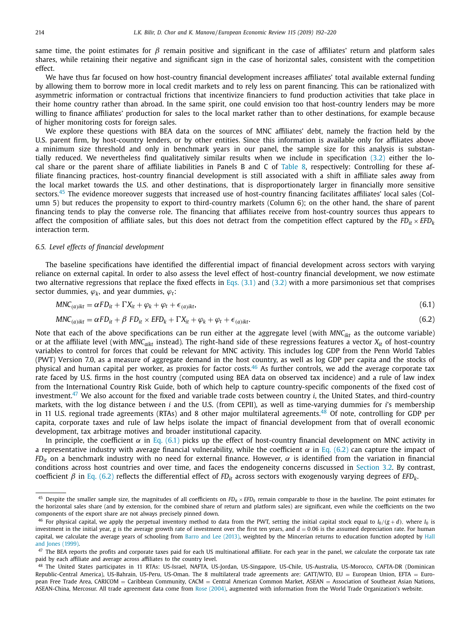<span id="page-22-0"></span>same time, the point estimates for  $\beta$  remain positive and significant in the case of affiliates' return and platform sales shares, while retaining their negative and significant sign in the case of horizontal sales, consistent with the competition effect.

We have thus far focused on how host-country financial development increases affiliates' total available external funding by allowing them to borrow more in local credit markets and to rely less on parent financing. This can be rationalized with asymmetric information or contractual frictions that incentivize financiers to fund production activities that take place in their home country rather than abroad. In the same spirit, one could envision too that host-country lenders may be more willing to finance affiliates' production for sales to the local market rather than to other destinations, for example because of higher monitoring costs for foreign sales.

We explore these questions with BEA data on the sources of MNC affiliates' debt, namely the fraction held by the U.S. parent firm, by host-country lenders, or by other entities. Since this information is available only for affiliates above a minimum size threshold and only in benchmark years in our panel, the sample size for this analysis is substantially reduced. We nevertheless find qualitatively similar results when we include in specification [\(3.2\)](#page-11-0) either the local share or the parent share of affiliate liabilities in Panels B and C of [Table](#page-21-0) 8, respectively: Controlling for these affiliate financing practices, host-country financial development is still associated with a shift in affiliate sales away from the local market towards the U.S. and other destinations, that is disproportionately larger in financially more sensitive sectors.<sup>45</sup> The evidence moreover suggests that increased use of host-country financing facilitates affiliates' local sales (Column 5) but reduces the propensity to export to third-country markets (Column 6); on the other hand, the share of parent financing tends to play the converse role. The financing that affiliates receive from host-country sources thus appears to affect the composition of affiliate sales, but this does not detract from the competition effect captured by the  $FD_{it} \times EFD_{k}$ interaction term.

#### *6.5. Level effects of financial development*

The baseline specifications have identified the differential impact of financial development across sectors with varying reliance on external capital. In order to also assess the level effect of host-country financial development, we now estimate two alternative regressions that replace the fixed effects in Eqs. [\(3.1\)](#page-10-0) and [\(3.2\)](#page-11-0) with a more parsimonious set that comprises sector dummies,  $\varphi_k$ , and year dummies,  $\varphi_t$ :

$$
MNC_{(a)ikt} = \alpha FD_{it} + \Gamma X_{it} + \varphi_k + \varphi_t + \epsilon_{(a)ikt},\tag{6.1}
$$

$$
MNC_{(a)ikt} = \alpha FD_{it} + \beta FD_{it} \times EFD_k + \Gamma X_{it} + \varphi_k + \varphi_t + \epsilon_{(a)ikt}.
$$
\n(6.2)

Note that each of the above specifications can be run either at the aggregate level (with MNC<sub>ikt</sub> as the outcome variable) or at the affiliate level (with *MNCaikt* instead). The right-hand side of these regressions features a vector *Xit* of host-country variables to control for forces that could be relevant for MNC activity. This includes log GDP from the Penn World Tables (PWT) Version 7.0, as a measure of aggregate demand in the host country, as well as log GDP per capita and the stocks of physical and human capital per worker, as proxies for factor costs.<sup>46</sup> As further controls, we add the average corporate tax rate faced by U.S. firms in the host country (computed using BEA data on observed tax incidence) and a rule of law index from the International Country Risk Guide, both of which help to capture country-specific components of the fixed cost of investment.<sup>47</sup> We also account for the fixed and variable trade costs between country *i*, the United States, and third-country markets, with the log distance between *i* and the U.S. (from CEPII), as well as time-varying dummies for *i*'s membership in 11 U.S. regional trade agreements (RTAs) and 8 other major multilateral agreements.<sup>48</sup> Of note, controlling for GDP per capita, corporate taxes and rule of law helps isolate the impact of financial development from that of overall economic development, tax arbitrage motives and broader institutional capacity.

In principle, the coefficient  $\alpha$  in Eq. (6.1) picks up the effect of host-country financial development on MNC activity in a representative industry with average financial vulnerability, while the coefficient  $\alpha$  in Eq. (6.2) can capture the impact of *FD<sub>it</sub>* on a benchmark industry with no need for external finance. However,  $\alpha$  is identified from the variation in financial conditions across host countries and over time, and faces the endogeneity concerns discussed in [Section](#page-11-0) 3.2. By contrast, coefficient  $β$  in Eq. (6.2) reflects the differential effect of  $FD_{lt}$  across sectors with exogenously varying degrees of  $EFD_{k}$ .

<sup>&</sup>lt;sup>45</sup> Despite the smaller sample size, the magnitudes of all coefficients on *FD<sub>it</sub>* × *EFD<sub>k</sub>* remain comparable to those in the baseline. The point estimates for the horizontal sales share (and by extension, for the combined share of return and platform sales) are significant, even while the coefficients on the two components of the export share are not always precisely pinned down.

<sup>&</sup>lt;sup>46</sup> For physical capital, we apply the perpetual inventory method to data from the PWT, setting the initial capital stock equal to  $I_0/(g+d)$ , where  $I_0$  is investment in the initial year, *g* is the average growth rate of investment over the first ten years, and  $d = 0.06$  is the assumed depreciation rate. For human capital, we calculate the average years of schooling from Barro and Lee [\(2013\),](#page-27-0) weighted by the [Mincerian](#page-28-0) returns to education function adopted by Hall and Jones (1999).

 $47$  The BEA reports the profits and corporate taxes paid for each US multinational affiliate. For each year in the panel, we calculate the corporate tax rate paid by each affiliate and average across affiliates to the country level.

<sup>48</sup> The United States participates in 11 RTAs: US-Israel, NAFTA, US-Jordan, US-Singapore, US-Chile, US-Australia, US-Morocco, CAFTA-DR (Dominican Republic-Central America), US-Bahrain, US-Peru, US-Oman. The 8 multilateral trade agreements are: GATT/WTO, EU = European Union, EFTA = European Free Trade Area, CARICOM = Caribbean Community, CACM = Central American Common Market, ASEAN = Association of Southeast Asian Nations, ASEAN-China, Mercosur. All trade agreement data come from Rose [\(2004\),](#page-28-0) augmented with information from the World Trade Organization's website.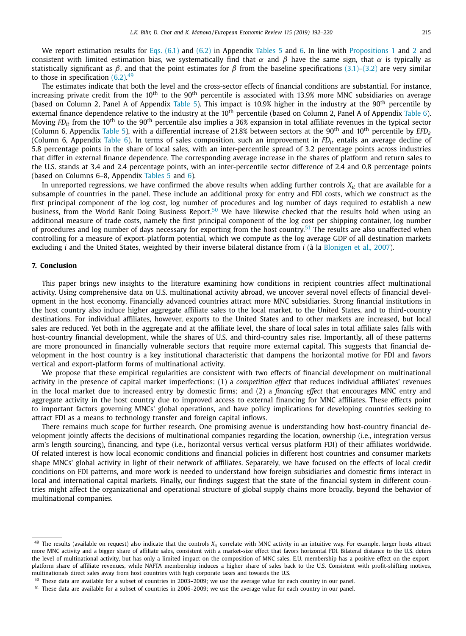We report estimation results for Eqs. [\(6.1\)](#page-22-0) and [\(6.2\)](#page-22-0) in Appendix [Tables](#page-18-0) 5 and [6.](#page-20-0) In line with [Propositions](#page-8-0) 1 and [2](#page-9-0) and consistent with limited estimation bias, we systematically find that  $\alpha$  and  $\beta$  have the same sign, that  $\alpha$  is typically as statistically significant as  $\beta$ , and that the point estimates for  $\beta$  from the baseline specifications [\(3.1\)](#page-10-0)[–\(3.2\)](#page-11-0) are very similar to those in specification  $(6.2)$ .<sup>49</sup>

The estimates indicate that both the level and the cross-sector effects of financial conditions are substantial. For instance, increasing private credit from the 10<sup>th</sup> to the 90<sup>th</sup> percentile is associated with 13.9% more MNC subsidiaries on average (based on Column 2, Panel A of Appendix [Table](#page-18-0) 5). This impact is 10.9% higher in the industry at the 90<sup>th</sup> percentile by external finance dependence relative to the industry at the 10<sup>th</sup> percentile (based on Column 2, Panel A of Appendix [Table](#page-20-0) 6). Moving *FDit* from the 10th to the 90th percentile also implies a 36% expansion in total affiliate revenues in the typical sector (Column 6, Appendix [Table](#page-18-0) 5), with a differential increase of 21.8% between sectors at the 90th and 10th percentile by *EFDk* (Column 6, Appendix [Table](#page-20-0) 6). In terms of sales composition, such an improvement in *FDit* entails an average decline of 5.8 percentage points in the share of local sales, with an inter-percentile spread of 3.2 percentage points across industries that differ in external finance dependence. The corresponding average increase in the shares of platform and return sales to the U.S. stands at 3.4 and 2.4 percentage points, with an inter-percentile sector difference of 2.4 and 0.8 percentage points (based on Columns 6–8, Appendix [Tables](#page-18-0) 5 and [6\)](#page-20-0).

In unreported regressions, we have confirmed the above results when adding further controls  $X_{it}$  that are available for a subsample of countries in the panel. These include an additional proxy for entry and FDI costs, which we construct as the first principal component of the log cost, log number of procedures and log number of days required to establish a new business, from the World Bank Doing Business Report.<sup>50</sup> We have likewise checked that the results hold when using an additional measure of trade costs, namely the first principal component of the log cost per shipping container, log number of procedures and log number of days necessary for exporting from the host country.<sup>51</sup> The results are also unaffected when controlling for a measure of export-platform potential, which we compute as the log average GDP of all destination markets excluding *i* and the United States, weighted by their inverse bilateral distance from *i* (à la [Blonigen](#page-28-0) et al., 2007).

#### **7. Conclusion**

This paper brings new insights to the literature examining how conditions in recipient countries affect multinational activity. Using comprehensive data on U.S. multinational activity abroad, we uncover several novel effects of financial development in the host economy. Financially advanced countries attract more MNC subsidiaries. Strong financial institutions in the host country also induce higher aggregate affiliate sales to the local market, to the United States, and to third-country destinations. For individual affiliates, however, exports to the United States and to other markets are increased, but local sales are reduced. Yet both in the aggregate and at the affiliate level, the share of local sales in total affiliate sales falls with host-country financial development, while the shares of U.S. and third-country sales rise. Importantly, all of these patterns are more pronounced in financially vulnerable sectors that require more external capital. This suggests that financial development in the host country is a key institutional characteristic that dampens the horizontal motive for FDI and favors vertical and export-platform forms of multinational activity.

We propose that these empirical regularities are consistent with two effects of financial development on multinational activity in the presence of capital market imperfections: (1) a *competition effect* that reduces individual affiliates' revenues in the local market due to increased entry by domestic firms; and (2) a *financing effect* that encourages MNC entry and aggregate activity in the host country due to improved access to external financing for MNC affiliates. These effects point to important factors governing MNCs' global operations, and have policy implications for developing countries seeking to attract FDI as a means to technology transfer and foreign capital inflows.

There remains much scope for further research. One promising avenue is understanding how host-country financial development jointly affects the decisions of multinational companies regarding the location, ownership (i.e., integration versus arm's length sourcing), financing, and type (i.e., horizontal versus vertical versus platform FDI) of their affiliates worldwide. Of related interest is how local economic conditions and financial policies in different host countries and consumer markets shape MNCs' global activity in light of their network of affiliates. Separately, we have focused on the effects of local credit conditions on FDI patterns, and more work is needed to understand how foreign subsidiaries and domestic firms interact in local and international capital markets. Finally, our findings suggest that the state of the financial system in different countries might affect the organizational and operational structure of global supply chains more broadly, beyond the behavior of multinational companies.

 $49$  The results (available on request) also indicate that the controls  $X_{it}$  correlate with MNC activity in an intuitive way. For example, larger hosts attract more MNC activity and a bigger share of affiliate sales, consistent with a market-size effect that favors horizontal FDI. Bilateral distance to the U.S. deters the level of multinational activity, but has only a limited impact on the composition of MNC sales. E.U. membership has a positive effect on the exportplatform share of affiliate revenues, while NAFTA membership induces a higher share of sales back to the U.S. Consistent with profit-shifting motives, multinationals direct sales away from host countries with high corporate taxes and towards the U.S.

<sup>50</sup> These data are available for a subset of countries in 2003–2009; we use the average value for each country in our panel.

<sup>51</sup> These data are available for a subset of countries in 2006–2009; we use the average value for each country in our panel.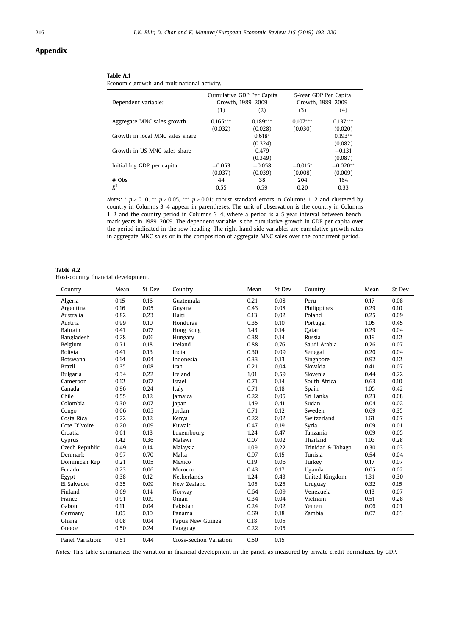#### **Appendix**

#### **Table A.1**

 $\overline{a}$ 

|  |  |  |  | Economic growth and multinational activity. |  |
|--|--|--|--|---------------------------------------------|--|
|--|--|--|--|---------------------------------------------|--|

| Dependent variable:             | (1)        | Cumulative GDP Per Capita<br>Growth, 1989-2009<br>(2) | 5-Year GDP Per Capita<br>Growth, 1989-2009<br>(3) | (4)        |
|---------------------------------|------------|-------------------------------------------------------|---------------------------------------------------|------------|
| Aggregate MNC sales growth      | $0.165***$ | $0.189***$                                            | $0.107***$                                        | $0.137***$ |
|                                 | (0.032)    | (0.028)                                               | (0.030)                                           | (0.020)    |
| Growth in local MNC sales share |            | $0.618*$                                              |                                                   | $0.193**$  |
|                                 |            | (0.324)                                               |                                                   | (0.082)    |
| Growth in US MNC sales share    |            | 0.479                                                 |                                                   | $-0.131$   |
|                                 |            | (0.349)                                               |                                                   | (0.087)    |
| Initial log GDP per capita      | $-0.053$   | $-0.058$                                              | $-0.015*$                                         | $-0.020**$ |
|                                 | (0.037)    | (0.039)                                               | (0.008)                                           | (0.009)    |
| $#$ Obs                         | 44         | 38                                                    | 204                                               | 164        |
| $R^2$                           | 0.55       | 0.59                                                  | 0.20                                              | 0.33       |

*Notes:* \* *p* < 0.10, \*\* *p* < 0.05, \*\*\* *p* < 0.01; robust standard errors in Columns 1–2 and clustered by country in Columns 3–4 appear in parentheses. The unit of observation is the country in Columns 1–2 and the country-period in Columns 3–4, where a period is a 5-year interval between benchmark years in 1989–2009. The dependent variable is the cumulative growth in GDP per capita over the period indicated in the row heading. The right-hand side variables are cumulative growth rates in aggregate MNC sales or in the composition of aggregate MNC sales over the concurrent period.

| Table A.2                           |  |  |
|-------------------------------------|--|--|
| Host-country financial development. |  |  |

| Country          | Mean | St Dev | Country                  | Mean | St Dev | Country           | Mean | St Dev |
|------------------|------|--------|--------------------------|------|--------|-------------------|------|--------|
| Algeria          | 0.15 | 0.16   | Guatemala                | 0.21 | 0.08   | Peru              | 0.17 | 0.08   |
| Argentina        | 0.16 | 0.05   | Guyana                   | 0.43 | 0.08   | Philippines       | 0.29 | 0.10   |
| Australia        | 0.82 | 0.23   | Haiti                    | 0.13 | 0.02   | Poland            | 0.25 | 0.09   |
| Austria          | 0.99 | 0.10   | Honduras                 | 0.35 | 0.10   | Portugal          | 1.05 | 0.45   |
| Bahrain          | 0.41 | 0.07   | Hong Kong                | 1.43 | 0.14   | Oatar             | 0.29 | 0.04   |
| Bangladesh       | 0.28 | 0.06   | Hungary                  | 0.38 | 0.14   | Russia            | 0.19 | 0.12   |
| Belgium          | 0.71 | 0.18   | Iceland                  | 0.88 | 0.76   | Saudi Arabia      | 0.26 | 0.07   |
| <b>Bolivia</b>   | 0.41 | 0.13   | India                    | 0.30 | 0.09   | Senegal           | 0.20 | 0.04   |
| Botswana         | 0.14 | 0.04   | Indonesia                | 0.33 | 0.13   | Singapore         | 0.92 | 0.12   |
| <b>Brazil</b>    | 0.35 | 0.08   | Iran                     | 0.21 | 0.04   | Slovakia          | 0.41 | 0.07   |
| <b>Bulgaria</b>  | 0.34 | 0.22   | Ireland                  | 1.01 | 0.59   | Slovenia          | 0.44 | 0.22   |
| Cameroon         | 0.12 | 0.07   | Israel                   | 0.71 | 0.14   | South Africa      | 0.63 | 0.10   |
| Canada           | 0.96 | 0.24   | Italy                    | 0.71 | 0.18   | Spain             | 1.05 | 0.42   |
| Chile            | 0.55 | 0.12   | Jamaica                  | 0.22 | 0.05   | Sri Lanka         | 0.23 | 0.08   |
| Colombia         | 0.30 | 0.07   | Japan                    | 1.49 | 0.41   | Sudan             | 0.04 | 0.02   |
| Congo            | 0.06 | 0.05   | Jordan                   | 0.71 | 0.12   | Sweden            | 0.69 | 0.35   |
| Costa Rica       | 0.22 | 0.12   | Kenya                    | 0.22 | 0.02   | Switzerland       | 1.61 | 0.07   |
| Cote D'Ivoire    | 0.20 | 0.09   | Kuwait                   | 0.47 | 0.19   | Syria             | 0.09 | 0.01   |
| Croatia          | 0.61 | 0.13   | Luxembourg               | 1.24 | 0.47   | Tanzania          | 0.09 | 0.05   |
| Cyprus           | 1.42 | 0.36   | Malawi                   | 0.07 | 0.02   | Thailand          | 1.03 | 0.28   |
| Czech Republic   | 0.49 | 0.14   | Malaysia                 | 1.09 | 0.22   | Trinidad & Tobago | 0.30 | 0.03   |
| Denmark          | 0.97 | 0.70   | Malta                    | 0.97 | 0.15   | Tunisia           | 0.54 | 0.04   |
| Dominican Rep    | 0.21 | 0.05   | Mexico                   | 0.19 | 0.06   | Turkey            | 0.17 | 0.07   |
| Ecuador          | 0.23 | 0.06   | Morocco                  | 0.43 | 0.17   | Uganda            | 0.05 | 0.02   |
| Egypt            | 0.38 | 0.12   | Netherlands              | 1.24 | 0.43   | United Kingdom    | 1.31 | 0.30   |
| El Salvador      | 0.35 | 0.09   | New Zealand              | 1.05 | 0.25   | Uruguay           | 0.32 | 0.15   |
| Finland          | 0.69 | 0.14   | Norway                   | 0.64 | 0.09   | Venezuela         | 0.13 | 0.07   |
| France           | 0.91 | 0.09   | Oman                     | 0.34 | 0.04   | Vietnam           | 0.51 | 0.28   |
| Gabon            | 0.11 | 0.04   | Pakistan                 | 0.24 | 0.02   | Yemen             | 0.06 | 0.01   |
| Germany          | 1.05 | 0.10   | Panama                   | 0.69 | 0.18   | Zambia            | 0.07 | 0.03   |
| Ghana            | 0.08 | 0.04   | Papua New Guinea         | 0.18 | 0.05   |                   |      |        |
| Greece           | 0.50 | 0.24   | Paraguay                 | 0.22 | 0.05   |                   |      |        |
| Panel Variation: | 0.51 | 0.44   | Cross-Section Variation: | 0.50 | 0.15   |                   |      |        |

*Notes:* This table summarizes the variation in financial development in the panel, as measured by private credit normalized by GDP.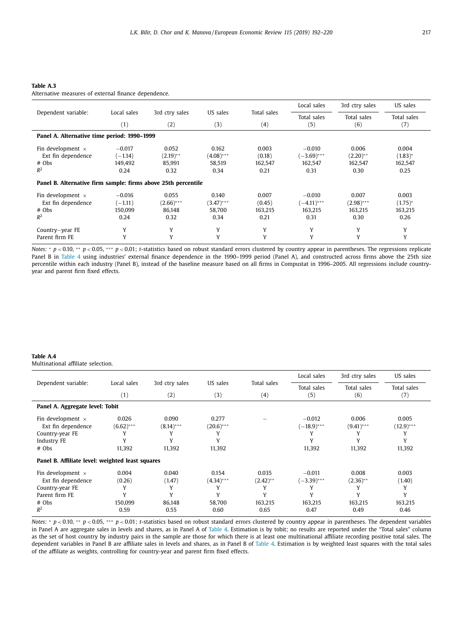#### **Table A.3**

Alternative measures of external finance dependence.

|                                                               |             |                |              |             | Local sales   | 3rd ctry sales | US sales     |
|---------------------------------------------------------------|-------------|----------------|--------------|-------------|---------------|----------------|--------------|
| Dependent variable:                                           | Local sales | 3rd ctry sales | US sales     | Total sales | Total sales   | Total sales    | Total sales  |
|                                                               | (1)         | (2)            | (3)          | (4)         | (5)           | (6)            | (7)          |
| Panel A. Alternative time period: 1990–1999                   |             |                |              |             |               |                |              |
| Fin development $\times$                                      | $-0.017$    | 0.052          | 0.162        | 0.003       | $-0.010$      | 0.006          | 0.004        |
| Ext fin dependence                                            | $(-1.14)$   | $(2.19)$ **    | $(4.08)$ *** | (0.18)      | $(-3.69)$ *** | $(2.20)$ **    | $(1.83)^{*}$ |
| $#$ Obs                                                       | 149.492     | 85.991         | 58.519       | 162.547     | 162.547       | 162.547        | 162.547      |
| $R^2$                                                         | 0.24        | 0.32           | 0.34         | 0.21        | 0.31          | 0.30           | 0.25         |
| Panel B. Alternative firm sample: firms above 25th percentile |             |                |              |             |               |                |              |
| Fin development $\times$                                      | $-0.016$    | 0.055          | 0.140        | 0.007       | $-0.010$      | 0.007          | 0.003        |
| Ext fin dependence                                            | $(-1.11)$   | $(2.66)$ ***   | $(3.47)$ *** | (0.45)      | $(-4.11)$ *** | $(2.98)$ ***   | $(1.75)^{*}$ |
| # Obs                                                         | 150.099     | 86.148         | 58.700       | 163.215     | 163,215       | 163,215        | 163,215      |
| $R^2$                                                         | 0.24        | 0.32           | 0.34         | 0.21        | 0.31          | 0.30           | 0.26         |
| Country-year FE                                               | Y           | Y              | Y            | Y           | Y             | Y              | Y            |
| Parent firm FE                                                | Y           | Y              | Y            | Y           | Y             | Y              | Y            |

*Notes:* \* *p* < 0.10, \*\* *p* < 0.05, \*\*\* *p* < 0.01; *t*-statistics based on robust standard errors clustered by country appear in parentheses. The regressions replicate Panel B in [Table](#page-17-0) 4 using industries' external finance dependence in the 1990–1999 period (Panel A), and constructed across firms above the 25th size percentile within each industry (Panel B), instead of the baseline measure based on all firms in Compustat in 1996–2005. All regressions include countryyear and parent firm fixed effects.

#### **Table A.4**

Multinational affiliate selection.

|                                                  |              |                |              |             | Local sales   | 3rd ctry sales | US sales    |  |
|--------------------------------------------------|--------------|----------------|--------------|-------------|---------------|----------------|-------------|--|
| Dependent variable:                              | Local sales  | 3rd ctry sales | US sales     | Total sales | Total sales   | Total sales    | Total sales |  |
|                                                  | (1)          | (2)            | (3)          | (4)         | (5)           | (6)            | (7)         |  |
| Panel A. Aggregate level: Tobit                  |              |                |              |             |               |                |             |  |
| Fin development $\times$                         | 0.026        | 0.090          | 0.277        |             | $-0.012$      | 0.006          | 0.005       |  |
| Ext fin dependence                               | $(6.62)$ *** | $(8.14)$ ***   | $(20.6)$ *** |             | $(-18.9)$ *** | $(9.41)$ ***   | $(12.9)***$ |  |
| Country-year FE                                  |              |                |              |             |               |                |             |  |
| Industry FE                                      |              |                |              |             | Y             |                | Y           |  |
| # Obs                                            | 11,392       | 11,392         | 11,392       |             | 11,392        | 11,392         | 11,392      |  |
| Panel B. Affiliate level: weighted least squares |              |                |              |             |               |                |             |  |
| Fin development $\times$                         | 0.004        | 0.040          | 0.154        | 0.035       | $-0.011$      | 0.008          | 0.003       |  |
| Ext fin dependence                               | (0.26)       | (1.47)         | $(4.34)$ *** | $(2.42)$ ** | $(-3.39)$ *** | $(2.36)$ **    | (1.40)      |  |
| Country-year FE                                  | γ            | Y              |              |             |               |                | Y           |  |
| Parent firm FE                                   |              | Y              |              |             | Y             |                | Y           |  |
| $#$ Obs                                          | 150,099      | 86,148         | 58,700       | 163,215     | 163,215       | 163,215        | 163,215     |  |
| $R^2$                                            | 0.59         | 0.55           | 0.60         | 0.65        | 0.47          | 0.49           | 0.46        |  |

*Notes:* <sup>∗</sup> *p* < 0.10, ∗∗ *p* < 0.05, ∗∗∗ *p* < 0.01; *t*-statistics based on robust standard errors clustered by country appear in parentheses. The dependent variables in Panel A are aggregate sales in levels and shares, as in Panel A of [Table](#page-17-0) 4. Estimation is by tobit; no results are reported under the "Total sales" column as the set of host country by industry pairs in the sample are those for which there is at least one multinational affiliate recording positive total sales. The dependent variables in Panel B are affiliate sales in levels and shares, as in Panel B of [Table](#page-17-0) 4. Estimation is by weighted least squares with the total sales of the affiliate as weights, controlling for country-year and parent firm fixed effects.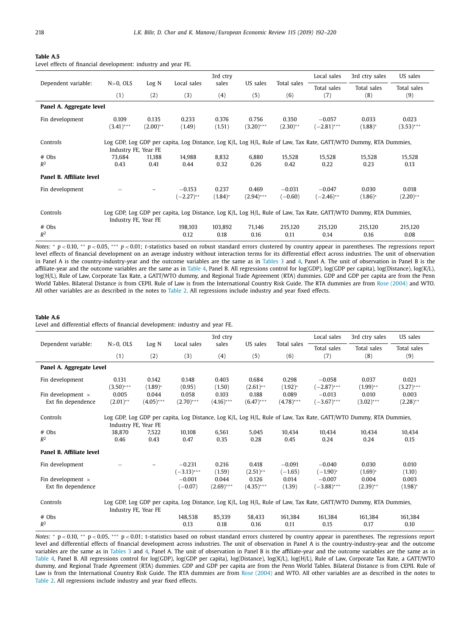#### **Table A.5**

Level effects of financial development: industry and year FE.

|                                                                                                                                                      |                                                                                                                  |             |              | 3rd ctry   |              |             | Local sales   | 3rd ctry sales | US sales     |  |
|------------------------------------------------------------------------------------------------------------------------------------------------------|------------------------------------------------------------------------------------------------------------------|-------------|--------------|------------|--------------|-------------|---------------|----------------|--------------|--|
| Dependent variable:                                                                                                                                  | $N>0$ , OLS                                                                                                      | Log N       | Local sales  | sales      | US sales     | Total sales | Total sales   | Total sales    | Total sales  |  |
|                                                                                                                                                      | (1)                                                                                                              | (2)         | (3)          | (4)        | (5)          | (6)         | (7)           | (8)            | (9)          |  |
| Panel A. Aggregate level                                                                                                                             |                                                                                                                  |             |              |            |              |             |               |                |              |  |
| Fin development                                                                                                                                      | 0.109                                                                                                            | 0.135       | 0.233        | 0.376      | 0.756        | 0.350       | $-0.057$      | 0.033          | 0.023        |  |
|                                                                                                                                                      | $(3.41)$ ***                                                                                                     | $(2.00)$ ** | (1.49)       | (1.51)     | $(3.20)$ *** | $(2.30)$ ** | $(-2.81)$ *** | $(1.88)^*$     | $(3.53)$ *** |  |
| Controls                                                                                                                                             | Log GDP, Log GDP per capita, Log Distance, Log K/L, Log H/L, Rule of Law, Tax Rate, GATT/WTO Dummy, RTA Dummies, |             |              |            |              |             |               |                |              |  |
| # Obs                                                                                                                                                | Industry FE, Year FE<br>73,684                                                                                   | 11,188      | 14,988       | 8,832      | 6,880        | 15,528      | 15,528        | 15,528         | 15,528       |  |
| $R^2$                                                                                                                                                | 0.43                                                                                                             | 0.41        | 0.44         | 0.32       | 0.26         | 0.42        | 0.22          | 0.23           | 0.13         |  |
| Panel B. Affiliate level                                                                                                                             |                                                                                                                  |             |              |            |              |             |               |                |              |  |
| Fin development                                                                                                                                      |                                                                                                                  |             | $-0.153$     | 0.237      | 0.469        | $-0.031$    | $-0.047$      | 0.030          | 0.018        |  |
|                                                                                                                                                      |                                                                                                                  |             | $(-2.27)$ ** | $(1.84)$ * | $(2.94)***$  | $(-0.60)$   | $(-2.46)$ **  | $(1.86)^*$     | $(2.20)$ **  |  |
| Log GDP, Log GDP per capita, Log Distance, Log K/L, Log H/L, Rule of Law, Tax Rate, GATT/WTO Dummy, RTA Dummies,<br>Controls<br>Industry FE, Year FE |                                                                                                                  |             |              |            |              |             |               |                |              |  |
| # Obs                                                                                                                                                |                                                                                                                  |             | 198,103      | 103,892    | 71,146       | 215,120     | 215,120       | 215,120        | 215,120      |  |
| $R^2$                                                                                                                                                |                                                                                                                  |             | 0.12         | 0.18       | 0.16         | 0.11        | 0.14          | 0.16           | 0.08         |  |

*Notes:* <sup>∗</sup> *p* < 0.10, ∗∗ *p* < 0.05, ∗∗∗ *p* < 0.01; *t*-statistics based on robust standard errors clustered by country appear in parentheses. The regressions report level effects of financial development on an average industry without interaction terms for its differential effect across industries. The unit of observation in Panel A is the country-industry-year and the outcome variables are the same as in [Tables](#page-16-0) 3 and [4,](#page-17-0) Panel A. The unit of observation in Panel B is the affiliate-year and the outcome variables are the same as in [Table](#page-17-0) 4, Panel B. All regressions control for log(GDP), log(GDP per capita), log(Distance), log(K/L), log(H/L), Rule of Law, Corporate Tax Rate, a GATT/WTO dummy, and Regional Trade Agreement (RTA) dummies. GDP and GDP per capita are from the Penn World Tables. Bilateral Distance is from CEPII. Rule of Law is from the International Country Risk Guide. The RTA dummies are from Rose [\(2004\)](#page-28-0) and WTO. All other variables are as described in the notes to [Table](#page-13-0) 2. All regressions include industry and year fixed effects.

#### **Table A.6**

Level and differential effects of financial development: industry and year FE.

|                          |                      |              |               | 3rd ctry     |              |              | Local sales   | 3rd ctry sales                                                                                                   | US sales     |
|--------------------------|----------------------|--------------|---------------|--------------|--------------|--------------|---------------|------------------------------------------------------------------------------------------------------------------|--------------|
| Dependent variable:      | $N>0$ , OLS          | Log N        | Local sales   | sales        | US sales     | Total sales  | Total sales   | Total sales                                                                                                      | Total sales  |
|                          | (1)                  | (2)          | (3)           | (4)          | (5)          | (6)          | (7)           | (8)                                                                                                              | (9)          |
| Panel A. Aggregate Level |                      |              |               |              |              |              |               |                                                                                                                  |              |
| Fin development          | 0.131                | 0.142        | 0.148         | 0.403        | 0.684        | 0.298        | $-0.058$      | 0.037                                                                                                            | 0.021        |
|                          | $(3.50)$ ***         | $(1.89)^{*}$ | (0.95)        | (1.50)       | $(2.61)$ **  | $(1.92)^{*}$ | $(-2.87)$ *** | $(1.99)$ **                                                                                                      | $(3.27)$ *** |
| Fin development $\times$ | 0.005                | 0.044        | 0.058         | 0.103        | 0.188        | 0.089        | $-0.013$      | 0.010                                                                                                            | 0.003        |
| Ext fin dependence       | $(2.01)$ **          | $(4.05)$ *** | $(2.70)$ ***  | $(4.16)$ *** | $(6.47)$ *** | $(4.78)$ *** | $(-3.67)$ *** | $(3.02)$ ***                                                                                                     | $(2.28)$ **  |
| Controls                 |                      |              |               |              |              |              |               | Log GDP, Log GDP per capita, Log Distance, Log K/L, Log H/L, Rule of Law, Tax Rate, GATT/WTO Dummy, RTA Dummies, |              |
|                          | Industry FE, Year FE |              |               |              |              |              |               |                                                                                                                  |              |
| $#$ Obs                  | 38,870               | 7.522        | 10.108        | 6.561        | 5.045        | 10.434       | 10.434        | 10.434                                                                                                           | 10,434       |
| $R^2$                    | 0.46                 | 0.43         | 0.47          | 0.35         | 0.28         | 0.45         | 0.24          | 0.24                                                                                                             | 0.15         |
| Panel B. Affiliate level |                      |              |               |              |              |              |               |                                                                                                                  |              |
| Fin development          |                      |              | $-0.231$      | 0.216        | 0.418        | $-0.091$     | $-0.040$      | 0.030                                                                                                            | 0.010        |
|                          |                      |              | $(-3.13)$ *** | (1.59)       | $(2.51)$ **  | $(-1.65)$    | $(-1.90)^*$   | $(1.69)^*$                                                                                                       | (1.10)       |
| Fin development $\times$ |                      |              | $-0.001$      | 0.044        | 0.126        | 0.014        | $-0.007$      | 0.004                                                                                                            | 0.003        |
| Ext fin dependence       |                      |              | $(-0.07)$     | $(2.69)$ *** | $(4.35)$ *** | (1.39)       | $(-3.88)$ *** | $(2.39)$ **                                                                                                      | $(1.98)^{*}$ |
| Controls                 | Industry FE, Year FE |              |               |              |              |              |               | Log GDP, Log GDP per capita, Log Distance, Log K/L, Log H/L, Rule of Law, Tax Rate, GATT/WTO Dummy, RTA Dummies, |              |
| $#$ Obs                  |                      |              | 148,538       | 85.339       | 58.433       | 161.384      | 161.384       | 161,384                                                                                                          | 161,384      |
| $R^2$                    |                      |              | 0.13          | 0.18         | 0.16         | 0.11         | 0.15          | 0.17                                                                                                             | 0.10         |

*Notes*: \* p < 0.10, \*\* p < 0.05, \*\*\* p < 0.01; t-statistics based on robust standard errors clustered by country appear in parentheses. The regressions report level and differential effects of financial development across industries. The unit of observation in Panel A is the country-industry-year and the outcome variables are the same as in [Tables](#page-16-0) 3 and [4,](#page-17-0) Panel A. The unit of observation in Panel B is the affiliate-year and the outcome variables are the same as in [Table](#page-17-0) 4, Panel B. All regressions control for log(GDP), log(GDP per capita), log(Distance), log(K/L), log(H/L), Rule of Law, Corporate Tax Rate, a GATT/WTO dummy, and Regional Trade Agreement (RTA) dummies. GDP and GDP per capita are from the Penn World Tables. Bilateral Distance is from CEPII. Rule of Law is from the International Country Risk Guide. The RTA dummies are from Rose [\(2004\)](#page-28-0) and WTO. All other variables are as described in the notes to [Table](#page-13-0) 2. All regressions include industry and year fixed effects.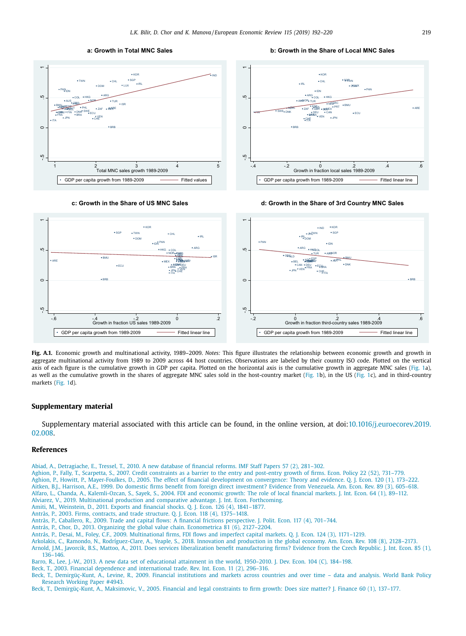

<span id="page-27-0"></span>



**c: Growth in the Share of US MNC Sales d: Growth in the Share of 3rd Country MNC Sales**



**Fig. A.1.** Economic growth and multinational activity, 1989–2009. *Notes:* This figure illustrates the relationship between economic growth and growth in aggregate multinational activity from 1989 to 2009 across 44 host countries. Observations are labeled by their country ISO code. Plotted on the vertical axis of each figure is the cumulative growth in GDP per capita. Plotted on the horizontal axis is the cumulative growth in aggregate MNC sales [\(Fig.](#page-1-0) 1a), as well as the cumulative growth in the shares of aggregate MNC sales sold in the host-country market [\(Fig.](#page-1-0) 1b), in the US [\(Fig.](#page-1-0) 1c), and in third-country markets [\(Fig.](#page-1-0) 1d).

#### **Supplementary material**

Supplementary material associated with this article can be found, in the online version, at [doi:10.1016/j.euroecorev.2019.](https://doi.org/10.1016/j.euroecorev.2019.02.008) 02.008.

#### **References**

[Abiad,](http://refhub.elsevier.com/S0014-2921(19)30039-X/sbref0001) A., [Detragiache,](http://refhub.elsevier.com/S0014-2921(19)30039-X/sbref0001) E., [Tressel,](http://refhub.elsevier.com/S0014-2921(19)30039-X/sbref0001) T., 2010. A new database of financial reforms. IMF [Staff Papers](http://refhub.elsevier.com/S0014-2921(19)30039-X/sbref0001) 57 (2), 281–302.

- [Aghion,](http://refhub.elsevier.com/S0014-2921(19)30039-X/sbref0002) P., [Fally,](http://refhub.elsevier.com/S0014-2921(19)30039-X/sbref0002) T., [Scarpetta,](http://refhub.elsevier.com/S0014-2921(19)30039-X/sbref0002) S., 2007. Credit [constraints](http://refhub.elsevier.com/S0014-2921(19)30039-X/sbref0002) as a barrier to the entry and post-entry growth of firms. Econ. Policy 22 (52), 731–779.
- [Aghion,](http://refhub.elsevier.com/S0014-2921(19)30039-X/sbref0003) P., [Howitt,](http://refhub.elsevier.com/S0014-2921(19)30039-X/sbref0003) P., [Mayer-Foulkes,](http://refhub.elsevier.com/S0014-2921(19)30039-X/sbref0003) D., 2005. The effect of financial development on [convergence:](http://refhub.elsevier.com/S0014-2921(19)30039-X/sbref0003) Theory and evidence. Q. J. Econ. 120 (1), 173–222. [Aitken,](http://refhub.elsevier.com/S0014-2921(19)30039-X/sbref0004) B.J., [Harrison,](http://refhub.elsevier.com/S0014-2921(19)30039-X/sbref0004) A.E., 1999. Do domestic firms benefit from foreign direct [investment?](http://refhub.elsevier.com/S0014-2921(19)30039-X/sbref0004) Evidence from Venezuela. Am. Econ. Rev. 89 (3), 605–618.
- [Alfaro,](http://refhub.elsevier.com/S0014-2921(19)30039-X/sbref0005) L., [Chanda,](http://refhub.elsevier.com/S0014-2921(19)30039-X/sbref0005) A., [Kalemli-Ozcan,](http://refhub.elsevier.com/S0014-2921(19)30039-X/sbref0005) S., [Sayek,](http://refhub.elsevier.com/S0014-2921(19)30039-X/sbref0005) S., 2004. FDI and [economic](http://refhub.elsevier.com/S0014-2921(19)30039-X/sbref0005) growth: The role of local financial markets. J. Int. Econ. 64 (1), 89–112. [Alviarez,](http://refhub.elsevier.com/S0014-2921(19)30039-X/sbref0006) V., 2019. [Multinational](http://refhub.elsevier.com/S0014-2921(19)30039-X/sbref0006) production and comparative advantage. J. Int. Econ. [Forthcoming.](http://refhub.elsevier.com/S0014-2921(19)30039-X/sbref0006)
- [Amiti,](http://refhub.elsevier.com/S0014-2921(19)30039-X/sbref0007) M., [Weinstein,](http://refhub.elsevier.com/S0014-2921(19)30039-X/sbref0007) D., 2011. Exports and financial shocks. Q. J. Econ. 126 (4), [1841–1877.](http://refhub.elsevier.com/S0014-2921(19)30039-X/sbref0007)
- [Antràs,](http://refhub.elsevier.com/S0014-2921(19)30039-X/sbref0008) P., 2003. Firms, contracts, and trade structure. Q. J. Econ. 118 (4), [1375–1418.](http://refhub.elsevier.com/S0014-2921(19)30039-X/sbref0008)
- [Antràs,](http://refhub.elsevier.com/S0014-2921(19)30039-X/sbref0009) P., [Caballero,](http://refhub.elsevier.com/S0014-2921(19)30039-X/sbref0009) R., 2009. Trade and capital flows: A financial frictions [perspective.](http://refhub.elsevier.com/S0014-2921(19)30039-X/sbref0009) J. Polit. Econ. 117 (4), 701–744.
- [Antrás,](http://refhub.elsevier.com/S0014-2921(19)30039-X/sbref0010) P., [Chor,](http://refhub.elsevier.com/S0014-2921(19)30039-X/sbref0010) D., 2013. Organizing the global value chain. [Econometrica](http://refhub.elsevier.com/S0014-2921(19)30039-X/sbref0010) 81 (6), 2127–2204.
- [Antrás,](http://refhub.elsevier.com/S0014-2921(19)30039-X/sbref0011) P., [Desai,](http://refhub.elsevier.com/S0014-2921(19)30039-X/sbref0011) M., [Foley,](http://refhub.elsevier.com/S0014-2921(19)30039-X/sbref0011) C.F., 2009. [Multinational](http://refhub.elsevier.com/S0014-2921(19)30039-X/sbref0011) firms, FDI flows and imperfect capital markets. Q. J. Econ. 124 (3), 1171–1219.
- [Arkolakis,](http://refhub.elsevier.com/S0014-2921(19)30039-X/sbref0012) C., [Ramondo,](http://refhub.elsevier.com/S0014-2921(19)30039-X/sbref0012) N., [Rodríguez-Clare,](http://refhub.elsevier.com/S0014-2921(19)30039-X/sbref0012) A., [Yeaple,](http://refhub.elsevier.com/S0014-2921(19)30039-X/sbref0012) S., 2018. Innovation and production in the global economy. Am. Econ. Rev. 108 (8), [2128–2173.](http://refhub.elsevier.com/S0014-2921(19)30039-X/sbref0012)
- [Arnold,](http://refhub.elsevier.com/S0014-2921(19)30039-X/sbref0013) J.M., [Javorcik,](http://refhub.elsevier.com/S0014-2921(19)30039-X/sbref0013) B.S., [Mattoo,](http://refhub.elsevier.com/S0014-2921(19)30039-X/sbref0013) A., 2011. Does services liberalization benefit [manufacturing](http://refhub.elsevier.com/S0014-2921(19)30039-X/sbref0013) firms? Evidence from the Czech Republic. J. Int. Econ. 85 (1), 136–146.

[Barro,](http://refhub.elsevier.com/S0014-2921(19)30039-X/sbref0014) R., Lee, [J.-W.,](http://refhub.elsevier.com/S0014-2921(19)30039-X/sbref0014) 2013. A new data set of [educational](http://refhub.elsevier.com/S0014-2921(19)30039-X/sbref0014) attainment in the world, 1950–2010. J. Dev. Econ. 104 (C), 184–198.

- [Beck,](http://refhub.elsevier.com/S0014-2921(19)30039-X/sbref0015) T., 2003. Financial dependence and [international](http://refhub.elsevier.com/S0014-2921(19)30039-X/sbref0015) trade. Rev. Int. Econ. 11 (2), 296–316.
- [Beck,](http://refhub.elsevier.com/S0014-2921(19)30039-X/sbref0016) T., [Demirgüç-Kunt,](http://refhub.elsevier.com/S0014-2921(19)30039-X/sbref0016) A., [Levine,](http://refhub.elsevier.com/S0014-2921(19)30039-X/sbref0016) R., 2009. Financial [institutions](http://refhub.elsevier.com/S0014-2921(19)30039-X/sbref0016) and markets across countries and over time data and analysis. World Bank Policy Research Working Paper #4943.

[Beck,](http://refhub.elsevier.com/S0014-2921(19)30039-X/sbref0017) T., [Demirgüç-Kunt,](http://refhub.elsevier.com/S0014-2921(19)30039-X/sbref0017) A., [Maksimovic,](http://refhub.elsevier.com/S0014-2921(19)30039-X/sbref0017) V., 2005. Financial and legal [constraints](http://refhub.elsevier.com/S0014-2921(19)30039-X/sbref0017) to firm growth: Does size matter? J. Finance 60 (1), 137–177.